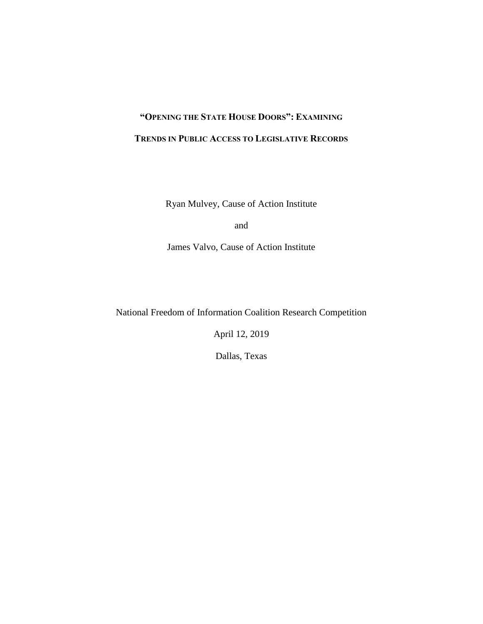# **"OPENING THE STATE HOUSE DOORS": EXAMINING TRENDS IN PUBLIC ACCESS TO LEGISLATIVE RECORDS**

Ryan Mulvey, Cause of Action Institute

and

James Valvo, Cause of Action Institute

National Freedom of Information Coalition Research Competition

April 12, 2019

Dallas, Texas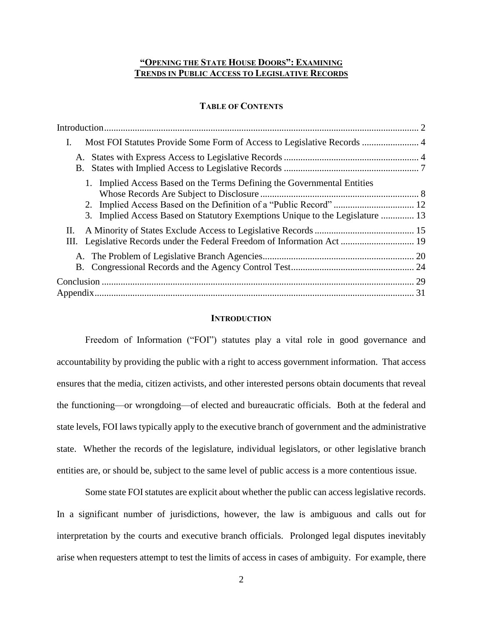# **"OPENING THE STATE HOUSE DOORS": EXAMINING TRENDS IN PUBLIC ACCESS TO LEGISLATIVE RECORDS**

# **TABLE OF CONTENTS**

| Ι.                                                                                                                                                       |  |
|----------------------------------------------------------------------------------------------------------------------------------------------------------|--|
| A.<br>B.                                                                                                                                                 |  |
| 1. Implied Access Based on the Terms Defining the Governmental Entities<br>3. Implied Access Based on Statutory Exemptions Unique to the Legislature  13 |  |
| П.<br>Ш.                                                                                                                                                 |  |
|                                                                                                                                                          |  |
|                                                                                                                                                          |  |

# **INTRODUCTION**

<span id="page-1-0"></span>Freedom of Information ("FOI") statutes play a vital role in good governance and accountability by providing the public with a right to access government information. That access ensures that the media, citizen activists, and other interested persons obtain documents that reveal the functioning—or wrongdoing—of elected and bureaucratic officials. Both at the federal and state levels, FOI laws typically apply to the executive branch of government and the administrative state. Whether the records of the legislature, individual legislators, or other legislative branch entities are, or should be, subject to the same level of public access is a more contentious issue.

Some state FOI statutes are explicit about whether the public can access legislative records. In a significant number of jurisdictions, however, the law is ambiguous and calls out for interpretation by the courts and executive branch officials. Prolonged legal disputes inevitably arise when requesters attempt to test the limits of access in cases of ambiguity. For example, there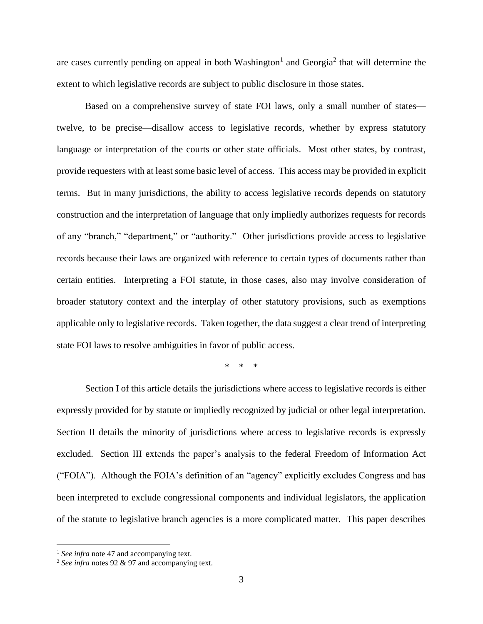are cases currently pending on appeal in both Washington<sup>1</sup> and Georgia<sup>2</sup> that will determine the extent to which legislative records are subject to public disclosure in those states.

Based on a comprehensive survey of state FOI laws, only a small number of states twelve, to be precise—disallow access to legislative records, whether by express statutory language or interpretation of the courts or other state officials. Most other states, by contrast, provide requesters with at least some basic level of access. This access may be provided in explicit terms. But in many jurisdictions, the ability to access legislative records depends on statutory construction and the interpretation of language that only impliedly authorizes requests for records of any "branch," "department," or "authority." Other jurisdictions provide access to legislative records because their laws are organized with reference to certain types of documents rather than certain entities. Interpreting a FOI statute, in those cases, also may involve consideration of broader statutory context and the interplay of other statutory provisions, such as exemptions applicable only to legislative records. Taken together, the data suggest a clear trend of interpreting state FOI laws to resolve ambiguities in favor of public access.

\* \* \*

Section I of this article details the jurisdictions where access to legislative records is either expressly provided for by statute or impliedly recognized by judicial or other legal interpretation. Section II details the minority of jurisdictions where access to legislative records is expressly excluded. Section III extends the paper's analysis to the federal Freedom of Information Act ("FOIA"). Although the FOIA's definition of an "agency" explicitly excludes Congress and has been interpreted to exclude congressional components and individual legislators, the application of the statute to legislative branch agencies is a more complicated matter. This paper describes

<sup>&</sup>lt;sup>1</sup> See infra note [47](#page-10-0) and accompanying text.

<sup>2</sup> *See infra* note[s 92](#page-16-0) [& 97](#page-18-1) and accompanying text.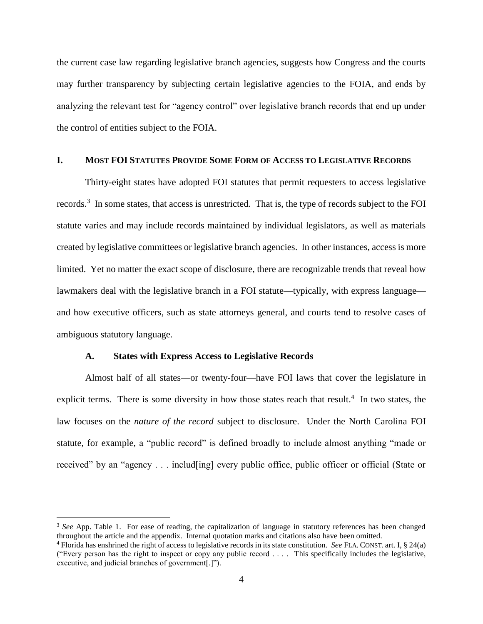the current case law regarding legislative branch agencies, suggests how Congress and the courts may further transparency by subjecting certain legislative agencies to the FOIA, and ends by analyzing the relevant test for "agency control" over legislative branch records that end up under the control of entities subject to the FOIA.

# <span id="page-3-0"></span>**I. MOST FOI STATUTES PROVIDE SOME FORM OF ACCESS TO LEGISLATIVE RECORDS**

Thirty-eight states have adopted FOI statutes that permit requesters to access legislative records.<sup>3</sup> In some states, that access is unrestricted. That is, the type of records subject to the FOI statute varies and may include records maintained by individual legislators, as well as materials created by legislative committees or legislative branch agencies. In other instances, access is more limited. Yet no matter the exact scope of disclosure, there are recognizable trends that reveal how lawmakers deal with the legislative branch in a FOI statute—typically, with express language and how executive officers, such as state attorneys general, and courts tend to resolve cases of ambiguous statutory language.

# **A. States with Express Access to Legislative Records**

 $\overline{a}$ 

<span id="page-3-1"></span>Almost half of all states—or twenty-four—have FOI laws that cover the legislature in explicit terms. There is some diversity in how those states reach that result.<sup>4</sup> In two states, the law focuses on the *nature of the record* subject to disclosure. Under the North Carolina FOI statute, for example, a "public record" is defined broadly to include almost anything "made or received" by an "agency . . . includ[ing] every public office, public officer or official (State or

<sup>&</sup>lt;sup>3</sup> See App. Table 1. For ease of reading, the capitalization of language in statutory references has been changed throughout the article and the appendix. Internal quotation marks and citations also have been omitted.

<sup>4</sup> Florida has enshrined the right of access to legislative records in its state constitution. *See* FLA. CONST. art. I, § 24(a) ("Every person has the right to inspect or copy any public record . . . . This specifically includes the legislative, executive, and judicial branches of government[.]").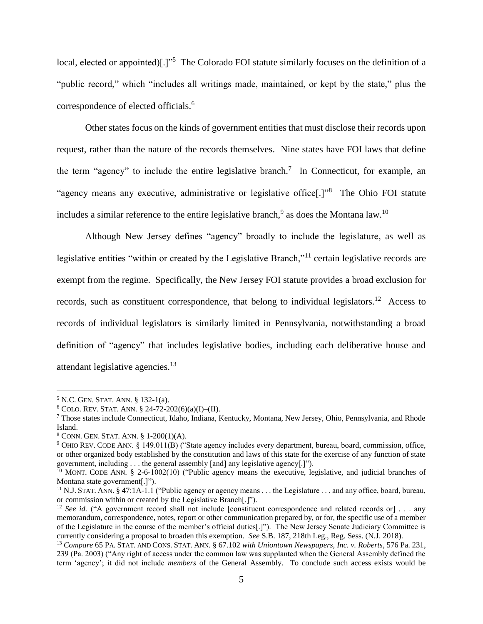local, elected or appointed)[.]"<sup>5</sup> The Colorado FOI statute similarly focuses on the definition of a "public record," which "includes all writings made, maintained, or kept by the state," plus the correspondence of elected officials. 6

Other states focus on the kinds of government entities that must disclose their records upon request, rather than the nature of the records themselves. Nine states have FOI laws that define the term "agency" to include the entire legislative branch.<sup>7</sup> In Connecticut, for example, an "agency means any executive, administrative or legislative office[.]"<sup>8</sup> The Ohio FOI statute includes a similar reference to the entire legislative branch,<sup>9</sup> as does the Montana law.<sup>10</sup>

Although New Jersey defines "agency" broadly to include the legislature, as well as legislative entities "within or created by the Legislative Branch,"<sup>11</sup> certain legislative records are exempt from the regime. Specifically, the New Jersey FOI statute provides a broad exclusion for records, such as constituent correspondence, that belong to individual legislators.<sup>12</sup> Access to records of individual legislators is similarly limited in Pennsylvania, notwithstanding a broad definition of "agency" that includes legislative bodies, including each deliberative house and attendant legislative agencies.<sup>13</sup>

<sup>5</sup> N.C. GEN. STAT. ANN. § 132-1(a).

 $6$  COLO. REV. STAT. ANN. § 24-72-202(6)(a)(I)–(II).

<sup>7</sup> Those states include Connecticut, Idaho, Indiana, Kentucky, Montana, New Jersey, Ohio, Pennsylvania, and Rhode Island.

<sup>8</sup> CONN. GEN. STAT. ANN. § 1-200(1)(A).

<sup>9</sup> OHIO REV. CODE ANN. § 149.011(B) ("State agency includes every department, bureau, board, commission, office, or other organized body established by the constitution and laws of this state for the exercise of any function of state government, including . . . the general assembly [and] any legislative agency[.]").

<sup>&</sup>lt;sup>10</sup> MONT. CODE ANN. § 2-6-1002(10) ("Public agency means the executive, legislative, and judicial branches of Montana state government[.]").

<sup>11</sup> N.J. STAT. ANN. § 47:1A-1.1 ("Public agency or agency means . . . the Legislature . . . and any office, board, bureau, or commission within or created by the Legislative Branch[.]").

<sup>&</sup>lt;sup>12</sup> *See id.* ("A government record shall not include [constituent correspondence and related records or] . . . any memorandum, correspondence, notes, report or other communication prepared by, or for, the specific use of a member of the Legislature in the course of the member's official duties[.]"). The New Jersey Senate Judiciary Committee is currently considering a proposal to broaden this exemption. *See* S.B. 187, 218th Leg., Reg. Sess. (N.J. 2018).

<sup>13</sup> *Compare* 65 PA. STAT. AND CONS. STAT. ANN. § 67.102 *with Uniontown Newspapers, Inc. v. Roberts*, 576 Pa. 231, 239 (Pa. 2003) ("Any right of access under the common law was supplanted when the General Assembly defined the term 'agency'; it did not include *members* of the General Assembly. To conclude such access exists would be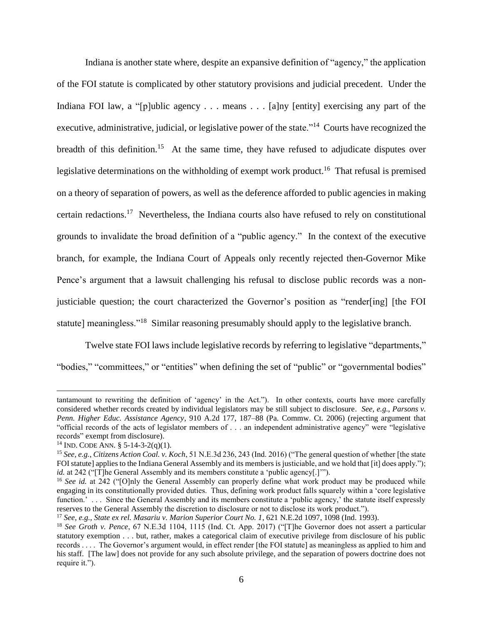Indiana is another state where, despite an expansive definition of "agency," the application of the FOI statute is complicated by other statutory provisions and judicial precedent. Under the Indiana FOI law, a "[p]ublic agency . . . means . . . [a]ny [entity] exercising any part of the executive, administrative, judicial, or legislative power of the state."<sup>14</sup> Courts have recognized the breadth of this definition.<sup>15</sup> At the same time, they have refused to adjudicate disputes over legislative determinations on the withholding of exempt work product.<sup>16</sup> That refusal is premised on a theory of separation of powers, as well as the deference afforded to public agencies in making certain redactions.<sup>17</sup> Nevertheless, the Indiana courts also have refused to rely on constitutional grounds to invalidate the broad definition of a "public agency." In the context of the executive branch, for example, the Indiana Court of Appeals only recently rejected then-Governor Mike Pence's argument that a lawsuit challenging his refusal to disclose public records was a nonjusticiable question; the court characterized the Governor's position as "render[ing] [the FOI statute] meaningless."<sup>18</sup> Similar reasoning presumably should apply to the legislative branch.

Twelve state FOI laws include legislative records by referring to legislative "departments," "bodies," "committees," or "entities" when defining the set of "public" or "governmental bodies"

tantamount to rewriting the definition of 'agency' in the Act."). In other contexts, courts have more carefully considered whether records created by individual legislators may be still subject to disclosure. *See, e.g.*, *Parsons v. Penn. Higher Educ. Assistance Agency*, 910 A.2d 177, 187–88 (Pa. Commw. Ct. 2006) (rejecting argument that "official records of the acts of legislator members of . . . an independent administrative agency" were "legislative records" exempt from disclosure).

<sup>&</sup>lt;sup>14</sup> IND. CODE ANN. § 5-14-3-2(q)(1).

<sup>15</sup> *See, e.g.*, *Citizens Action Coal. v. Koch*, 51 N.E.3d 236, 243 (Ind. 2016) ("The general question of whether [the state FOI statute] applies to the Indiana General Assembly and its members is justiciable, and we hold that [it] does apply."); *id.* at 242 ("[T]he General Assembly and its members constitute a 'public agency[.]'").

<sup>&</sup>lt;sup>16</sup> See id. at 242 ("[O]nly the General Assembly can properly define what work product may be produced while engaging in its constitutionally provided duties. Thus, defining work product falls squarely within a 'core legislative function.' . . . Since the General Assembly and its members constitute a 'public agency,' the statute itself expressly reserves to the General Assembly the discretion to disclosure or not to disclose its work product.").

<sup>17</sup> *See, e.g.*, *State ex rel. Masariu v. Marion Superior Court No. 1*, 621 N.E.2d 1097, 1098 (Ind. 1993).

<sup>18</sup> *See Groth v. Pence*, 67 N.E.3d 1104, 1115 (Ind. Ct. App. 2017) ("[T]he Governor does not assert a particular statutory exemption . . . but, rather, makes a categorical claim of executive privilege from disclosure of his public records . . . . The Governor's argument would, in effect render [the FOI statute] as meaningless as applied to him and his staff. [The law] does not provide for any such absolute privilege, and the separation of powers doctrine does not require it.").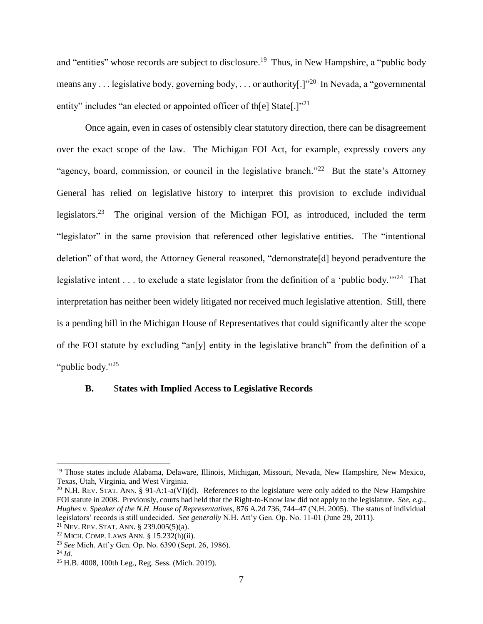and "entities" whose records are subject to disclosure.<sup>19</sup> Thus, in New Hampshire, a "public body means any . . . legislative body, governing body, . . . or authority[.]"<sup>20</sup> In Nevada, a "governmental entity" includes "an elected or appointed officer of th[e] State[.]"<sup>21</sup>

Once again, even in cases of ostensibly clear statutory direction, there can be disagreement over the exact scope of the law. The Michigan FOI Act, for example, expressly covers any "agency, board, commission, or council in the legislative branch."<sup>22</sup> But the state's Attorney General has relied on legislative history to interpret this provision to exclude individual legislators.<sup>23</sup> The original version of the Michigan FOI, as introduced, included the term "legislator" in the same provision that referenced other legislative entities. The "intentional deletion" of that word, the Attorney General reasoned, "demonstrate[d] beyond peradventure the legislative intent . . . to exclude a state legislator from the definition of a 'public body."<sup>24</sup> That interpretation has neither been widely litigated nor received much legislative attention. Still, there is a pending bill in the Michigan House of Representatives that could significantly alter the scope of the FOI statute by excluding "an[y] entity in the legislative branch" from the definition of a "*public body.*"<sup>25</sup>

# <span id="page-6-0"></span>**B.** S**tates with Implied Access to Legislative Records**

<sup>19</sup> Those states include Alabama, Delaware, Illinois, Michigan, Missouri, Nevada, New Hampshire, New Mexico, Texas, Utah, Virginia, and West Virginia.

<sup>&</sup>lt;sup>20</sup> N.H. REV. STAT. ANN. § 91-A:1-a(VI)(d). References to the legislature were only added to the New Hampshire FOI statute in 2008. Previously, courts had held that the Right-to-Know law did not apply to the legislature. *See, e.g.*, *Hughes v. Speaker of the N.H. House of Representatives*, 876 A.2d 736, 744–47 (N.H. 2005). The status of individual legislators' records is still undecided. *See generally* N.H. Att'y Gen. Op. No. 11-01 (June 29, 2011).

<sup>21</sup> NEV. REV. STAT. ANN. § 239.005(5)(a).

 $22$  MICH. COMP. LAWS ANN. § 15.232(h)(ii).

<sup>23</sup> *See* Mich. Att'y Gen. Op. No. 6390 (Sept. 26, 1986).

<sup>24</sup> *Id.*

<sup>25</sup> H.B. 4008, 100th Leg., Reg. Sess. (Mich. 2019).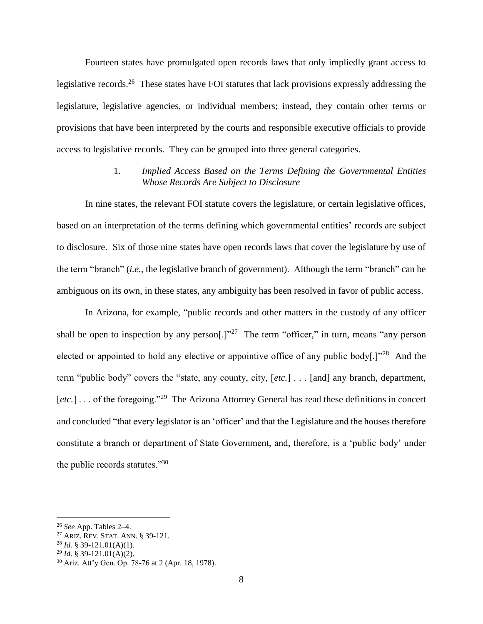Fourteen states have promulgated open records laws that only impliedly grant access to legislative records.<sup>26</sup> These states have FOI statutes that lack provisions expressly addressing the legislature, legislative agencies, or individual members; instead, they contain other terms or provisions that have been interpreted by the courts and responsible executive officials to provide access to legislative records. They can be grouped into three general categories.

# 1. *Implied Access Based on the Terms Defining the Governmental Entities Whose Records Are Subject to Disclosure*

<span id="page-7-0"></span>In nine states, the relevant FOI statute covers the legislature, or certain legislative offices, based on an interpretation of the terms defining which governmental entities' records are subject to disclosure. Six of those nine states have open records laws that cover the legislature by use of the term "branch" (*i.e.*, the legislative branch of government). Although the term "branch" can be ambiguous on its own, in these states, any ambiguity has been resolved in favor of public access.

In Arizona, for example, "public records and other matters in the custody of any officer shall be open to inspection by any person[.] $v^{27}$  The term "officer," in turn, means "any person elected or appointed to hold any elective or appointive office of any public body[.] $1^{28}$  And the term "public body" covers the "state, any county, city, [*etc.*] . . . [and] any branch, department, [etc.] . . . of the foregoing."<sup>29</sup> The Arizona Attorney General has read these definitions in concert and concluded "that every legislator is an 'officer' and that the Legislature and the houses therefore constitute a branch or department of State Government, and, therefore, is a 'public body' under the public records statutes."<sup>30</sup>

<sup>26</sup> *See* App. Tables 2–4.

<sup>27</sup> ARIZ. REV. STAT. ANN. § 39-121.

 $^{28}$  *Id.* § 39-121.01(A)(1).

<sup>29</sup> *Id.* § 39-121.01(A)(2).

<sup>30</sup> Ariz. Att'y Gen. Op. 78-76 at 2 (Apr. 18, 1978).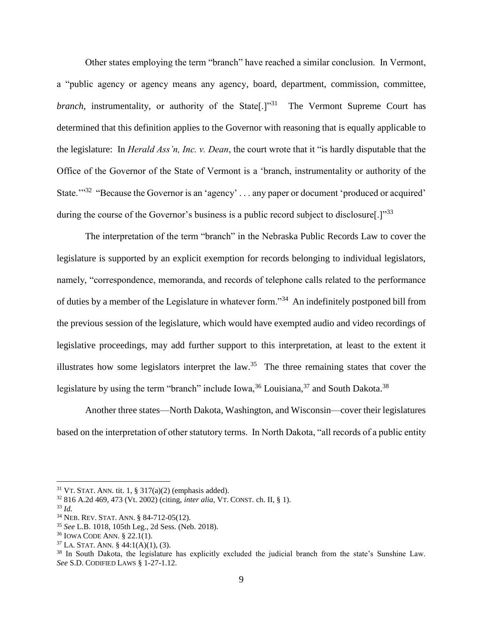Other states employing the term "branch" have reached a similar conclusion. In Vermont, a "public agency or agency means any agency, board, department, commission, committee, branch, instrumentality, or authority of the State<sup>[1]</sup><sup>31</sup> The Vermont Supreme Court has determined that this definition applies to the Governor with reasoning that is equally applicable to the legislature: In *Herald Ass'n, Inc. v. Dean*, the court wrote that it "is hardly disputable that the Office of the Governor of the State of Vermont is a 'branch, instrumentality or authority of the State."<sup>32</sup> "Because the Governor is an 'agency' ... any paper or document 'produced or acquired' during the course of the Governor's business is a public record subject to disclosure[.]"<sup>33</sup>

<span id="page-8-1"></span>The interpretation of the term "branch" in the Nebraska Public Records Law to cover the legislature is supported by an explicit exemption for records belonging to individual legislators, namely, "correspondence, memoranda, and records of telephone calls related to the performance of duties by a member of the Legislature in whatever form."<sup>34</sup> An indefinitely postponed bill from the previous session of the legislature, which would have exempted audio and video recordings of legislative proceedings, may add further support to this interpretation, at least to the extent it illustrates how some legislators interpret the  $law<sup>35</sup>$ . The three remaining states that cover the legislature by using the term "branch" include Iowa,  $36$  Louisiana,  $37$  and South Dakota.  $38$ 

<span id="page-8-2"></span><span id="page-8-0"></span>Another three states—North Dakota, Washington, and Wisconsin—cover their legislatures based on the interpretation of other statutory terms. In North Dakota, "all records of a public entity

 $31$  VT. STAT. ANN. tit. 1, § 317(a)(2) (emphasis added).

<sup>32</sup> 816 A.2d 469, 473 (Vt. 2002) (citing, *inter alia*, VT. CONST. ch. II, § 1).

<sup>33</sup> *Id.*

<sup>34</sup> NEB. REV. STAT. ANN. § 84-712-05(12).

<sup>35</sup> *See* L.B. 1018, 105th Leg., 2d Sess. (Neb. 2018).

<sup>36</sup> IOWA CODE ANN. § 22.1(1).

 $37$  LA. STAT. ANN. § 44:1(A)(1), (3).

<sup>38</sup> In South Dakota, the legislature has explicitly excluded the judicial branch from the state's Sunshine Law. *See* S.D. CODIFIED LAWS § 1-27-1.12.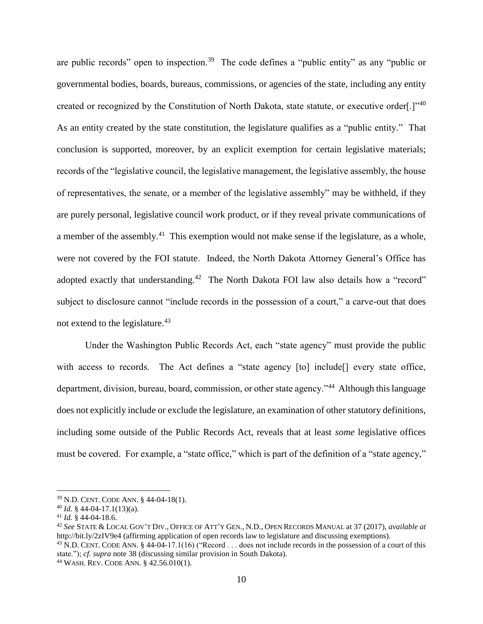are public records" open to inspection.<sup>39</sup> The code defines a "public entity" as any "public or governmental bodies, boards, bureaus, commissions, or agencies of the state, including any entity created or recognized by the Constitution of North Dakota, state statute, or executive order[.]"<sup>40</sup> As an entity created by the state constitution, the legislature qualifies as a "public entity." That conclusion is supported, moreover, by an explicit exemption for certain legislative materials; records of the "legislative council, the legislative management, the legislative assembly, the house of representatives, the senate, or a member of the legislative assembly" may be withheld, if they are purely personal, legislative council work product, or if they reveal private communications of a member of the assembly.<sup>41</sup> This exemption would not make sense if the legislature, as a whole, were not covered by the FOI statute. Indeed, the North Dakota Attorney General's Office has adopted exactly that understanding.<sup>42</sup> The North Dakota FOI law also details how a "record" subject to disclosure cannot "include records in the possession of a court," a carve-out that does not extend to the legislature.<sup>43</sup>

<span id="page-9-1"></span><span id="page-9-0"></span>Under the Washington Public Records Act, each "state agency" must provide the public with access to records. The Act defines a "state agency [to] include<sup>[]</sup> every state office, department, division, bureau, board, commission, or other state agency."<sup>44</sup> Although this language does not explicitly include or exclude the legislature, an examination of other statutory definitions, including some outside of the Public Records Act, reveals that at least *some* legislative offices must be covered. For example, a "state office," which is part of the definition of a "state agency,"

<sup>39</sup> N.D. CENT. CODE ANN. § 44-04-18(1).

 $^{40}$  *Id.* § 44-04-17.1(13)(a).

<sup>41</sup> *Id.* § 44-04-18.6.

<sup>42</sup> *See* STATE & LOCAL GOV'T DIV., OFFICE OF ATT'Y GEN., N.D., OPEN RECORDS MANUAL at 37 (2017), *available at* http://bit.ly/2zIV9e4 (affirming application of open records law to legislature and discussing exemptions).

 $^{43}$  N.D. CENT. CODE ANN. § 44-04-17.1(16) ("Record  $\dots$  does not include records in the possession of a court of this state."); *cf. supra* note [38](#page-8-0) (discussing similar provision in South Dakota).

<sup>44</sup> WASH. REV. CODE ANN. § 42.56.010(1).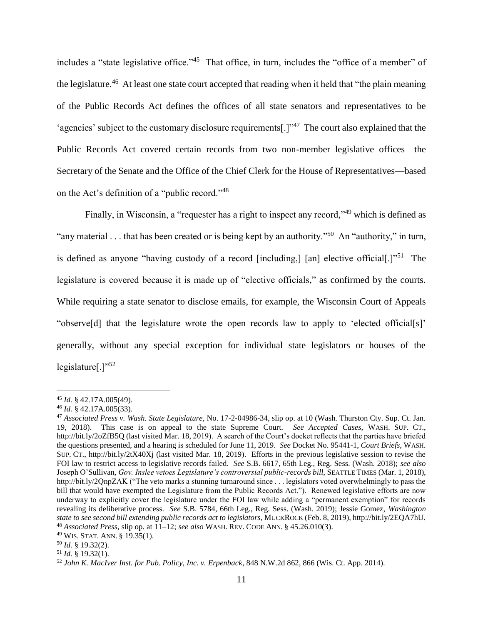<span id="page-10-0"></span>includes a "state legislative office."<sup>45</sup> That office, in turn, includes the "office of a member" of the legislature.<sup>46</sup> At least one state court accepted that reading when it held that "the plain meaning of the Public Records Act defines the offices of all state senators and representatives to be 'agencies' subject to the customary disclosure requirements[ $.$ ]<sup>47</sup> The court also explained that the Public Records Act covered certain records from two non-member legislative offices—the Secretary of the Senate and the Office of the Chief Clerk for the House of Representatives—based on the Act's definition of a "public record."<sup>48</sup>

Finally, in Wisconsin, a "requester has a right to inspect any record,"<sup>49</sup> which is defined as "any material . . . that has been created or is being kept by an authority."<sup>50</sup> An "authority," in turn, is defined as anyone "having custody of a record [including,] [an] elective official[.]"<sup>51</sup> The legislature is covered because it is made up of "elective officials," as confirmed by the courts. While requiring a state senator to disclose emails, for example, the Wisconsin Court of Appeals "observe[d] that the legislature wrote the open records law to apply to 'elected official[s]' generally, without any special exception for individual state legislators or houses of the legislature[.] $"52$ 

<sup>45</sup> *Id.* § 42.17A.005(49).

<sup>46</sup> *Id.* § 42.17A.005(33).

<sup>47</sup> *Associated Press v. Wash. State Legislature*, No. 17-2-04986-34, slip op. at 10 (Wash. Thurston Cty. Sup. Ct. Jan. 19, 2018). This case is on appeal to the state Supreme Court. *See Accepted Cases*, WASH. SUP. CT., http://bit.ly/2oZfB5Q (last visited Mar. 18, 2019). A search of the Court's docket reflects that the parties have briefed the questions presented, and a hearing is scheduled for June 11, 2019. *See* Docket No. 95441-1, *Court Briefs*, WASH. SUP. CT., http://bit.ly/2tX40Xj (last visited Mar. 18, 2019). Efforts in the previous legislative session to revise the FOI law to restrict access to legislative records failed. *See* S.B. 6617, 65th Leg., Reg. Sess. (Wash. 2018); *see also*  Joseph O'Sullivan, *Gov. Inslee vetoes Legislature's controversial public-records bill*, SEATTLE TIMES (Mar. 1, 2018), http://bit.ly/2QnpZAK ("The veto marks a stunning turnaround since . . . legislators voted overwhelmingly to pass the bill that would have exempted the Legislature from the Public Records Act."). Renewed legislative efforts are now underway to explicitly cover the legislature under the FOI law while adding a "permanent exemption" for records revealing its deliberative process. *See* S.B. 5784, 66th Leg., Reg. Sess. (Wash. 2019); Jessie Gomez, *Washington state to see second bill extending public records act to legislators*, MUCKROCK (Feb. 8, 2019), http://bit.ly/2EQA7hU. <sup>48</sup> *Associated Press*, slip op. at 11–12; *see also* WASH. REV. CODE ANN. § 45.26.010(3).

<sup>49</sup> WIS. STAT. ANN. § 19.35(1).

<sup>50</sup> *Id.* § 19.32(2).

<sup>51</sup> *Id.* § 19.32(1).

<sup>52</sup> *John K. MacIver Inst. for Pub. Policy, Inc. v. Erpenback*, 848 N.W.2d 862, 866 (Wis. Ct. App. 2014).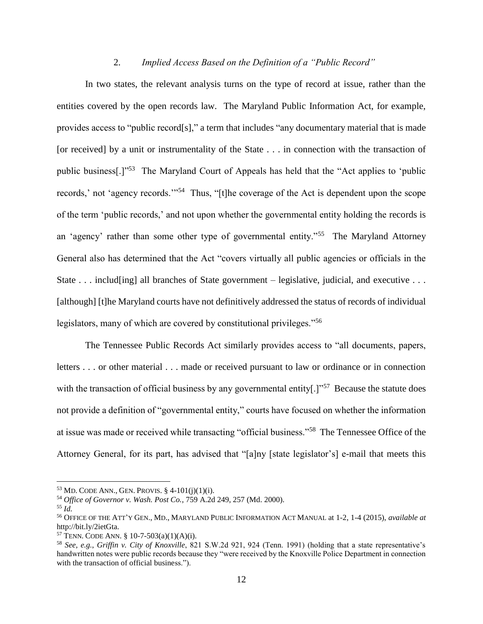# 2. *Implied Access Based on the Definition of a "Public Record"*

<span id="page-11-0"></span>In two states, the relevant analysis turns on the type of record at issue, rather than the entities covered by the open records law. The Maryland Public Information Act, for example, provides access to "public record[s]," a term that includes "any documentary material that is made [or received] by a unit or instrumentality of the State . . . in connection with the transaction of public business[.]"<sup>53</sup> The Maryland Court of Appeals has held that the "Act applies to 'public records,' not 'agency records.'"<sup>54</sup> Thus, "[t]he coverage of the Act is dependent upon the scope of the term 'public records,' and not upon whether the governmental entity holding the records is an 'agency' rather than some other type of governmental entity."<sup>55</sup> The Maryland Attorney General also has determined that the Act "covers virtually all public agencies or officials in the State . . . includ[ing] all branches of State government – legislative, judicial, and executive . . . [although] [t]he Maryland courts have not definitively addressed the status of records of individual legislators, many of which are covered by constitutional privileges."<sup>56</sup>

The Tennessee Public Records Act similarly provides access to "all documents, papers, letters . . . or other material . . . made or received pursuant to law or ordinance or in connection with the transaction of official business by any governmental entity[ $\cdot$ ]<sup>"57</sup> Because the statute does not provide a definition of "governmental entity," courts have focused on whether the information at issue was made or received while transacting "official business."<sup>58</sup> The Tennessee Office of the Attorney General, for its part, has advised that "[a]ny [state legislator's] e-mail that meets this

 $53$  MD. CODE ANN., GEN. PROVIS. § 4-101(j)(1)(i).

<sup>54</sup> *Office of Governor v. Wash. Post Co.*, 759 A.2d 249, 257 (Md. 2000).

<sup>55</sup> *Id.*

<sup>56</sup> OFFICE OF THE ATT'Y GEN., MD., MARYLAND PUBLIC INFORMATION ACT MANUAL at 1-2, 1-4 (2015), *available at*  http://bit.ly/2ietGta.

<sup>&</sup>lt;sup>57</sup> TENN. CODE ANN. § 10-7-503(a)(1)(A)(i).

<sup>58</sup> *See, e.g.*, *Griffin v. City of Knoxville*, 821 S.W.2d 921, 924 (Tenn. 1991) (holding that a state representative's handwritten notes were public records because they "were received by the Knoxville Police Department in connection with the transaction of official business.").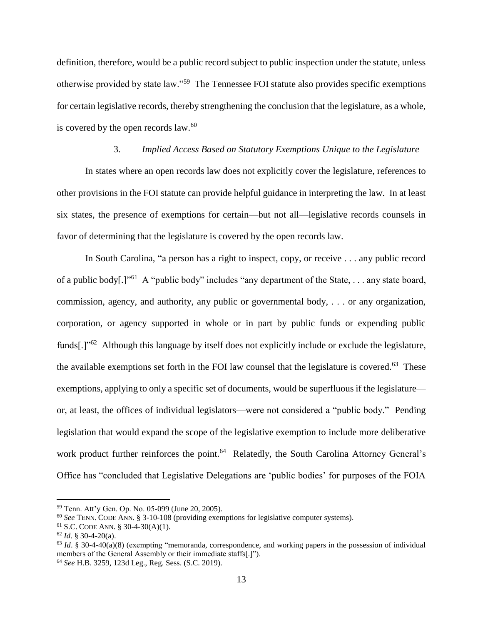definition, therefore, would be a public record subject to public inspection under the statute, unless otherwise provided by state law."<sup>59</sup> The Tennessee FOI statute also provides specific exemptions for certain legislative records, thereby strengthening the conclusion that the legislature, as a whole, is covered by the open records  $law<sup>60</sup>$ 

# <span id="page-12-1"></span>3. *Implied Access Based on Statutory Exemptions Unique to the Legislature*

<span id="page-12-0"></span>In states where an open records law does not explicitly cover the legislature, references to other provisions in the FOI statute can provide helpful guidance in interpreting the law. In at least six states, the presence of exemptions for certain—but not all—legislative records counsels in favor of determining that the legislature is covered by the open records law.

In South Carolina, "a person has a right to inspect, copy, or receive . . . any public record of a public body[.]"<sup>61</sup> A "public body" includes "any department of the State, . . . any state board, commission, agency, and authority, any public or governmental body, . . . or any organization, corporation, or agency supported in whole or in part by public funds or expending public funds[.]"<sup>62</sup> Although this language by itself does not explicitly include or exclude the legislature, the available exemptions set forth in the FOI law counsel that the legislature is covered.<sup>63</sup> These exemptions, applying to only a specific set of documents, would be superfluous if the legislature or, at least, the offices of individual legislators—were not considered a "public body." Pending legislation that would expand the scope of the legislative exemption to include more deliberative work product further reinforces the point.<sup>64</sup> Relatedly, the South Carolina Attorney General's Office has "concluded that Legislative Delegations are 'public bodies' for purposes of the FOIA

<sup>59</sup> Tenn. Att'y Gen. Op. No. 05-099 (June 20, 2005).

<sup>60</sup> *See* TENN. CODE ANN. § 3-10-108 (providing exemptions for legislative computer systems).

<sup>61</sup> S.C. CODE ANN. § 30-4-30(A)(1).

<sup>62</sup> *Id*. § 30-4-20(a).

<sup>63</sup> *Id*. § 30-4-40(a)(8) (exempting "memoranda, correspondence, and working papers in the possession of individual members of the General Assembly or their immediate staffs[.]"). <sup>64</sup> *See* H.B. 3259, 123d Leg., Reg. Sess. (S.C. 2019).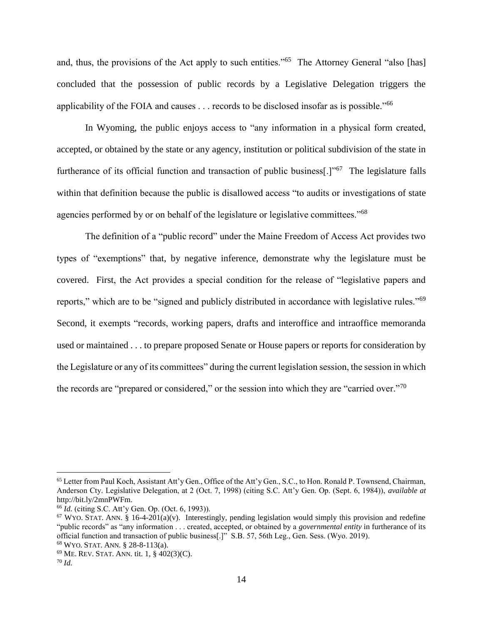and, thus, the provisions of the Act apply to such entities."<sup>65</sup> The Attorney General "also [has] concluded that the possession of public records by a Legislative Delegation triggers the applicability of the FOIA and causes . . . records to be disclosed insofar as is possible."<sup>66</sup>

In Wyoming, the public enjoys access to "any information in a physical form created, accepted, or obtained by the state or any agency, institution or political subdivision of the state in furtherance of its official function and transaction of public business[.]"<sup>67</sup> The legislature falls within that definition because the public is disallowed access "to audits or investigations of state agencies performed by or on behalf of the legislature or legislative committees."<sup>68</sup>

The definition of a "public record" under the Maine Freedom of Access Act provides two types of "exemptions" that, by negative inference, demonstrate why the legislature must be covered. First, the Act provides a special condition for the release of "legislative papers and reports," which are to be "signed and publicly distributed in accordance with legislative rules."<sup>69</sup> Second, it exempts "records, working papers, drafts and interoffice and intraoffice memoranda used or maintained . . . to prepare proposed Senate or House papers or reports for consideration by the Legislature or any of its committees" during the current legislation session, the session in which the records are "prepared or considered," or the session into which they are "carried over."<sup>70</sup>

<sup>&</sup>lt;sup>65</sup> Letter from Paul Koch, Assistant Att'y Gen., Office of the Att'y Gen., S.C., to Hon. Ronald P. Townsend, Chairman, Anderson Cty. Legislative Delegation, at 2 (Oct. 7, 1998) (citing S.C. Att'y Gen. Op. (Sept. 6, 1984)), *available at*  http://bit.ly/2mnPWFm.

<sup>66</sup> *Id.* (citing S.C. Att'y Gen. Op. (Oct. 6, 1993)).

 $67$  WYO. STAT. ANN. § 16-4-201(a)(v). Interestingly, pending legislation would simply this provision and redefine "public records" as "any information . . . created, accepted, or obtained by a *governmental entity* in furtherance of its official function and transaction of public business[.]" S.B. 57, 56th Leg., Gen. Sess. (Wyo. 2019). <sup>68</sup> WYO. STAT. ANN. § 28-8-113(a).

 $69$  ME. REV. STAT. ANN. tit. 1, § 402(3)(C).

<sup>70</sup> *Id.*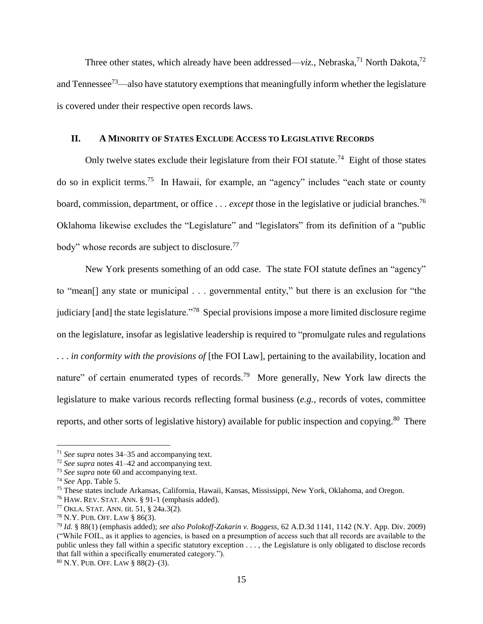Three other states, which already have been addressed—*viz.*, Nebraska,<sup>71</sup> North Dakota,<sup>72</sup> and Tennessee<sup>73</sup>—also have statutory exemptions that meaningfully inform whether the legislature is covered under their respective open records laws.

# <span id="page-14-0"></span>**II. A MINORITY OF STATES EXCLUDE ACCESS TO LEGISLATIVE RECORDS**

Only twelve states exclude their legislature from their FOI statute.<sup>74</sup> Eight of those states do so in explicit terms.<sup>75</sup> In Hawaii, for example, an "agency" includes "each state or county board, commission, department, or office . . . *except* those in the legislative or judicial branches.<sup>76</sup> Oklahoma likewise excludes the "Legislature" and "legislators" from its definition of a "public body" whose records are subject to disclosure.<sup>77</sup>

New York presents something of an odd case. The state FOI statute defines an "agency" to "mean[] any state or municipal . . . governmental entity," but there is an exclusion for "the judiciary [and] the state legislature."<sup>78</sup> Special provisions impose a more limited disclosure regime on the legislature, insofar as legislative leadership is required to "promulgate rules and regulations . . . *in conformity with the provisions of* [the FOI Law], pertaining to the availability, location and nature" of certain enumerated types of records.<sup>79</sup> More generally, New York law directs the legislature to make various records reflecting formal business (*e.g.*, records of votes, committee reports, and other sorts of legislative history) available for public inspection and copying.<sup>80</sup> There

<sup>71</sup> *See supra* notes [34–](#page-8-1)[35](#page-8-2) and accompanying text.

<sup>72</sup> *See supra* notes [41–](#page-9-0)[42](#page-9-1) and accompanying text.

<sup>73</sup> *See supra* note [60](#page-12-1) and accompanying text.

<sup>74</sup> *See* App. Table 5.

<sup>75</sup> These states include Arkansas, California, Hawaii, Kansas, Mississippi, New York, Oklahoma, and Oregon.

<sup>76</sup> HAW. REV. STAT. ANN. § 91-1 (emphasis added).

<sup>77</sup> OKLA. STAT. ANN. tit. 51, § 24a.3(2).

<sup>78</sup> N.Y. PUB. OFF. LAW § 86(3).

<sup>79</sup> *Id.* § 88(1) (emphasis added); *see also Polokoff-Zakarin v. Boggess*, 62 A.D.3d 1141, 1142 (N.Y. App. Div. 2009) ("While FOIL, as it applies to agencies, is based on a presumption of access such that all records are available to the public unless they fall within a specific statutory exception . . . , the Legislature is only obligated to disclose records that fall within a specifically enumerated category.").

<sup>80</sup> N.Y. PUB. OFF. LAW § 88(2)–(3).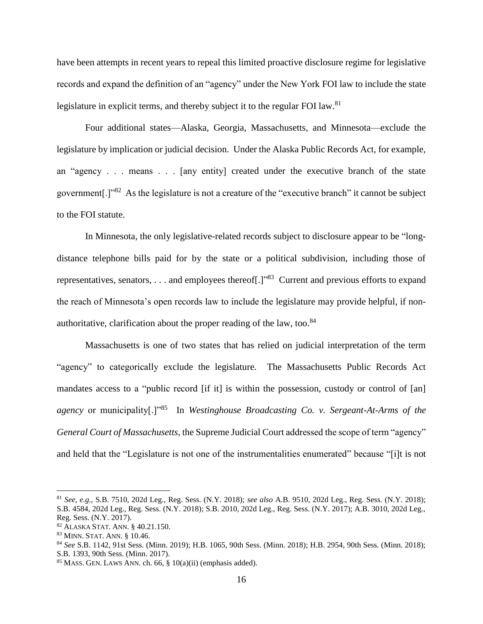have been attempts in recent years to repeal this limited proactive disclosure regime for legislative records and expand the definition of an "agency" under the New York FOI law to include the state legislature in explicit terms, and thereby subject it to the regular FOI law.<sup>81</sup>

Four additional states—Alaska, Georgia, Massachusetts, and Minnesota—exclude the legislature by implication or judicial decision. Under the Alaska Public Records Act, for example, an "agency . . . means . . . [any entity] created under the executive branch of the state government[.]"<sup>82</sup> As the legislature is not a creature of the "executive branch" it cannot be subject to the FOI statute.

In Minnesota, the only legislative-related records subject to disclosure appear to be "longdistance telephone bills paid for by the state or a political subdivision, including those of representatives, senators, . . . and employees thereof[.] $"$ <sup>83</sup> Current and previous efforts to expand the reach of Minnesota's open records law to include the legislature may provide helpful, if nonauthoritative, clarification about the proper reading of the law, too. $84$ 

Massachusetts is one of two states that has relied on judicial interpretation of the term "agency" to categorically exclude the legislature. The Massachusetts Public Records Act mandates access to a "public record [if it] is within the possession, custody or control of [an] *agency* or municipality[.]"<sup>85</sup> In *Westinghouse Broadcasting Co. v. Sergeant-At-Arms of the General Court of Massachusetts*, the Supreme Judicial Court addressed the scope of term "agency" and held that the "Legislature is not one of the instrumentalities enumerated" because "[i]t is not

<sup>81</sup> *See, e.g.*, S.B. 7510, 202d Leg., Reg. Sess. (N.Y. 2018); *see also* A.B. 9510, 202d Leg., Reg. Sess. (N.Y. 2018); S.B. 4584, 202d Leg., Reg. Sess. (N.Y. 2018); S.B. 2010, 202d Leg., Reg. Sess. (N.Y. 2017); A.B. 3010, 202d Leg., Reg. Sess. (N.Y. 2017).

<sup>82</sup> ALASKA STAT. ANN. § 40.21.150.

<sup>83</sup> MINN. STAT. ANN. § 10.46.

<sup>84</sup> *See* S.B. 1142, 91st Sess. (Minn. 2019); H.B. 1065, 90th Sess. (Minn. 2018); H.B. 2954, 90th Sess. (Minn. 2018); S.B. 1393, 90th Sess. (Minn. 2017).

 $85$  MASS. GEN. LAWS ANN. ch. 66, § 10(a)(ii) (emphasis added).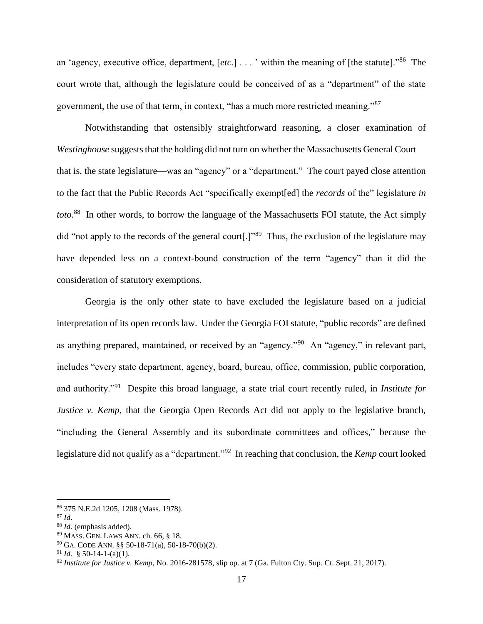an 'agency, executive office, department, [*etc.*] . . . ' within the meaning of [the statute]."<sup>86</sup> The court wrote that, although the legislature could be conceived of as a "department" of the state government, the use of that term, in context, "has a much more restricted meaning."<sup>87</sup>

Notwithstanding that ostensibly straightforward reasoning, a closer examination of *Westinghouse* suggests that the holding did not turn on whether the Massachusetts General Court that is, the state legislature—was an "agency" or a "department." The court payed close attention to the fact that the Public Records Act "specifically exempt[ed] the *records* of the" legislature *in toto*. 88 In other words, to borrow the language of the Massachusetts FOI statute, the Act simply did "not apply to the records of the general court[.]"<sup>89</sup> Thus, the exclusion of the legislature may have depended less on a context-bound construction of the term "agency" than it did the consideration of statutory exemptions.

Georgia is the only other state to have excluded the legislature based on a judicial interpretation of its open records law. Under the Georgia FOI statute, "public records" are defined as anything prepared, maintained, or received by an "agency."<sup>90</sup> An "agency," in relevant part, includes "every state department, agency, board, bureau, office, commission, public corporation, and authority."<sup>91</sup> Despite this broad language, a state trial court recently ruled, in *Institute for Justice v. Kemp*, that the Georgia Open Records Act did not apply to the legislative branch, "including the General Assembly and its subordinate committees and offices," because the legislature did not qualify as a "department."<sup>92</sup> In reaching that conclusion, the *Kemp* court looked

<span id="page-16-0"></span><sup>86</sup> 375 N.E.2d 1205, 1208 (Mass. 1978).

<sup>87</sup> *Id*.

<sup>88</sup> *Id*. (emphasis added).

<sup>89</sup> MASS. GEN. LAWS ANN. ch. 66, § 18.

<sup>90</sup> GA. CODE ANN. §§ 50-18-71(a), 50-18-70(b)(2).

<sup>&</sup>lt;sup>91</sup> *Id.* § 50-14-1-(a)(1).

<sup>92</sup> *Institute for Justice v. Kemp*, No. 2016-281578, slip op. at 7 (Ga. Fulton Cty. Sup. Ct. Sept. 21, 2017).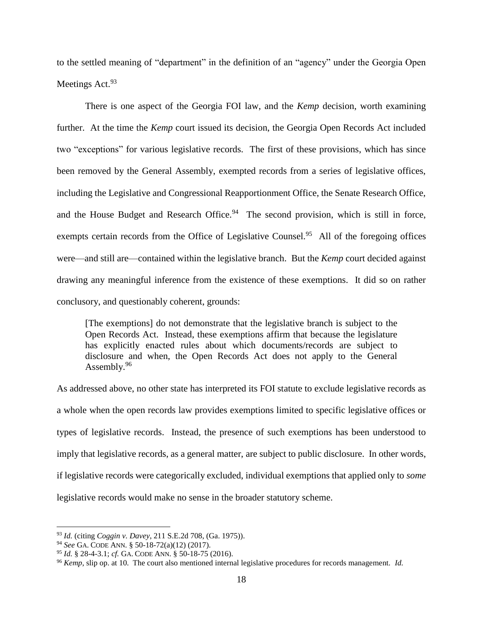to the settled meaning of "department" in the definition of an "agency" under the Georgia Open Meetings Act.<sup>93</sup>

There is one aspect of the Georgia FOI law, and the *Kemp* decision, worth examining further. At the time the *Kemp* court issued its decision, the Georgia Open Records Act included two "exceptions" for various legislative records. The first of these provisions, which has since been removed by the General Assembly, exempted records from a series of legislative offices, including the Legislative and Congressional Reapportionment Office, the Senate Research Office, and the House Budget and Research Office.<sup>94</sup> The second provision, which is still in force, exempts certain records from the Office of Legislative Counsel.<sup>95</sup> All of the foregoing offices were—and still are—contained within the legislative branch. But the *Kemp* court decided against drawing any meaningful inference from the existence of these exemptions. It did so on rather conclusory, and questionably coherent, grounds:

[The exemptions] do not demonstrate that the legislative branch is subject to the Open Records Act. Instead, these exemptions affirm that because the legislature has explicitly enacted rules about which documents/records are subject to disclosure and when, the Open Records Act does not apply to the General Assembly. $96$ 

As addressed above, no other state has interpreted its FOI statute to exclude legislative records as a whole when the open records law provides exemptions limited to specific legislative offices or types of legislative records. Instead, the presence of such exemptions has been understood to imply that legislative records, as a general matter, are subject to public disclosure. In other words, if legislative records were categorically excluded, individual exemptions that applied only to *some* legislative records would make no sense in the broader statutory scheme.

<sup>93</sup> *Id.* (citing *Coggin v. Davey*, 211 S.E.2d 708, (Ga. 1975)).

<sup>94</sup> *See* GA. CODE ANN. § 50-18-72(a)(12) (2017).

<sup>95</sup> *Id.* § 28-4-3.1; *cf.* GA. CODE ANN. § 50-18-75 (2016).

<sup>96</sup> *Kemp*, slip op. at 10. The court also mentioned internal legislative procedures for records management. *Id.*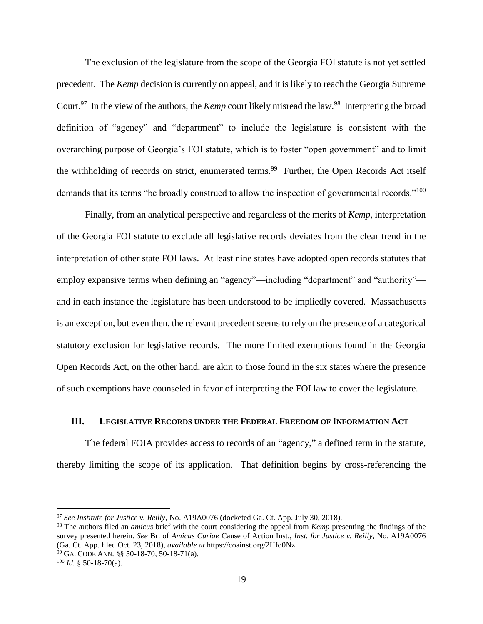<span id="page-18-1"></span>The exclusion of the legislature from the scope of the Georgia FOI statute is not yet settled precedent. The *Kemp* decision is currently on appeal, and it is likely to reach the Georgia Supreme Court.<sup>97</sup> In the view of the authors, the *Kemp* court likely misread the law.<sup>98</sup> Interpreting the broad definition of "agency" and "department" to include the legislature is consistent with the overarching purpose of Georgia's FOI statute, which is to foster "open government" and to limit the withholding of records on strict, enumerated terms.<sup>99</sup> Further, the Open Records Act itself demands that its terms "be broadly construed to allow the inspection of governmental records."<sup>100</sup>

Finally, from an analytical perspective and regardless of the merits of *Kemp*, interpretation of the Georgia FOI statute to exclude all legislative records deviates from the clear trend in the interpretation of other state FOI laws. At least nine states have adopted open records statutes that employ expansive terms when defining an "agency"—including "department" and "authority" and in each instance the legislature has been understood to be impliedly covered. Massachusetts is an exception, but even then, the relevant precedent seems to rely on the presence of a categorical statutory exclusion for legislative records. The more limited exemptions found in the Georgia Open Records Act, on the other hand, are akin to those found in the six states where the presence of such exemptions have counseled in favor of interpreting the FOI law to cover the legislature.

# <span id="page-18-0"></span>**III. LEGISLATIVE RECORDS UNDER THE FEDERAL FREEDOM OF INFORMATION ACT**

The federal FOIA provides access to records of an "agency," a defined term in the statute, thereby limiting the scope of its application. That definition begins by cross-referencing the

<sup>97</sup> *See Institute for Justice v. Reilly*, No. A19A0076 (docketed Ga. Ct. App. July 30, 2018).

<sup>98</sup> The authors filed an *amicus* brief with the court considering the appeal from *Kemp* presenting the findings of the survey presented herein. *See* Br. of *Amicus Curiae* Cause of Action Inst., *Inst. for Justice v. Reilly*, No. A19A0076 (Ga. Ct. App. filed Oct. 23, 2018), *available at* https://coainst.org/2Hfo0Nz.

<sup>99</sup> GA. CODE ANN. §§ 50-18-70, 50-18-71(a).

 $100$  *Id.* § 50-18-70(a).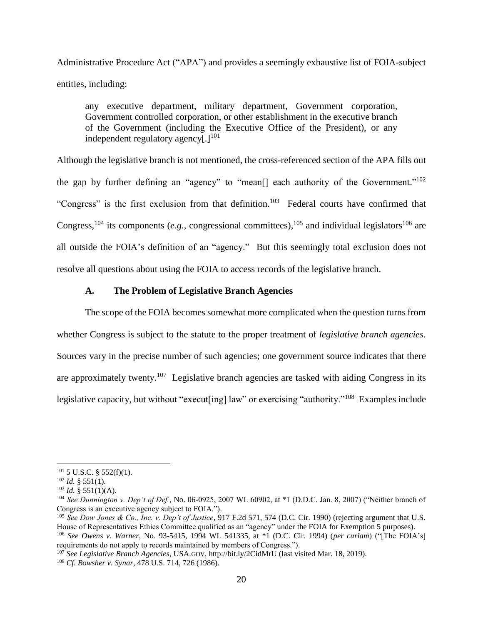Administrative Procedure Act ("APA") and provides a seemingly exhaustive list of FOIA-subject entities, including:

any executive department, military department, Government corporation, Government controlled corporation, or other establishment in the executive branch of the Government (including the Executive Office of the President), or any independent regulatory agency $[.]^{101}$ 

Although the legislative branch is not mentioned, the cross-referenced section of the APA fills out the gap by further defining an "agency" to "mean<sup>[]</sup> each authority of the Government."<sup>102</sup> "Congress" is the first exclusion from that definition.<sup>103</sup> Federal courts have confirmed that Congress,  $^{104}$  its components (*e.g.*, congressional committees),  $^{105}$  and individual legislators  $^{106}$  are all outside the FOIA's definition of an "agency." But this seemingly total exclusion does not resolve all questions about using the FOIA to access records of the legislative branch.

# **A. The Problem of Legislative Branch Agencies**

<span id="page-19-0"></span>The scope of the FOIA becomes somewhat more complicated when the question turns from whether Congress is subject to the statute to the proper treatment of *legislative branch agencies*. Sources vary in the precise number of such agencies; one government source indicates that there are approximately twenty.<sup>107</sup> Legislative branch agencies are tasked with aiding Congress in its legislative capacity, but without "execut[ing] law" or exercising "authority."<sup>108</sup> Examples include

 $\overline{a}$ 

requirements do not apply to records maintained by members of Congress.").

<sup>107</sup> *See Legislative Branch Agencies*, USA.GOV, http://bit.ly/2CidMrU (last visited Mar. 18, 2019).

 $101\,5$  U.S.C. § 552(f)(1).

 $102$  *Id.* § 551(1).

 $103$  *Id.* § 551(1)(A).

<sup>104</sup> *See Dunnington v. Dep't of Def.*, No. 06-0925, 2007 WL 60902, at \*1 (D.D.C. Jan. 8, 2007) ("Neither branch of Congress is an executive agency subject to FOIA.").

<sup>105</sup> *See Dow Jones & Co., Inc. v. Dep't of Justice*, 917 F.2d 571, 574 (D.C. Cir. 1990) (rejecting argument that U.S. House of Representatives Ethics Committee qualified as an "agency" under the FOIA for Exemption 5 purposes). <sup>106</sup> *See Owens v. Warner*, No. 93-5415, 1994 WL 541335, at \*1 (D.C. Cir. 1994) (*per curiam*) ("[The FOIA's]

<sup>108</sup> *Cf. Bowsher v. Synar*, 478 U.S. 714, 726 (1986).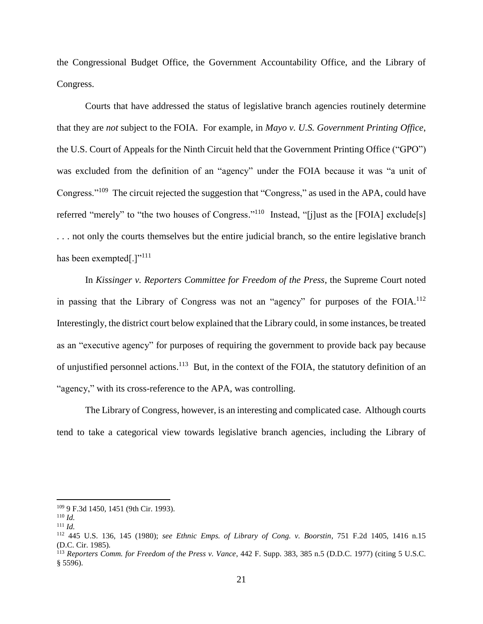the Congressional Budget Office, the Government Accountability Office, and the Library of Congress.

Courts that have addressed the status of legislative branch agencies routinely determine that they are *not* subject to the FOIA. For example, in *Mayo v. U.S. Government Printing Office*, the U.S. Court of Appeals for the Ninth Circuit held that the Government Printing Office ("GPO") was excluded from the definition of an "agency" under the FOIA because it was "a unit of Congress."<sup>109</sup> The circuit rejected the suggestion that "Congress," as used in the APA, could have referred "merely" to "the two houses of Congress."<sup>110</sup> Instead, "[j]ust as the [FOIA] exclude[s] . . . not only the courts themselves but the entire judicial branch, so the entire legislative branch has been exempted[.] $"^{111}$ 

In *Kissinger v. Reporters Committee for Freedom of the Press*, the Supreme Court noted in passing that the Library of Congress was not an "agency" for purposes of the FOIA.<sup>112</sup> Interestingly, the district court below explained that the Library could, in some instances, be treated as an "executive agency" for purposes of requiring the government to provide back pay because of unjustified personnel actions.<sup>113</sup> But, in the context of the FOIA, the statutory definition of an "agency," with its cross-reference to the APA, was controlling.

The Library of Congress, however, is an interesting and complicated case. Although courts tend to take a categorical view towards legislative branch agencies, including the Library of

<sup>109</sup> 9 F.3d 1450, 1451 (9th Cir. 1993).

<sup>110</sup> *Id.*

<sup>111</sup> *Id.*

<sup>112</sup> 445 U.S. 136, 145 (1980); *see Ethnic Emps. of Library of Cong. v. Boorstin*, 751 F.2d 1405, 1416 n.15 (D.C. Cir. 1985).

<sup>113</sup> *Reporters Comm. for Freedom of the Press v. Vance*, 442 F. Supp. 383, 385 n.5 (D.D.C. 1977) (citing 5 U.S.C. § 5596).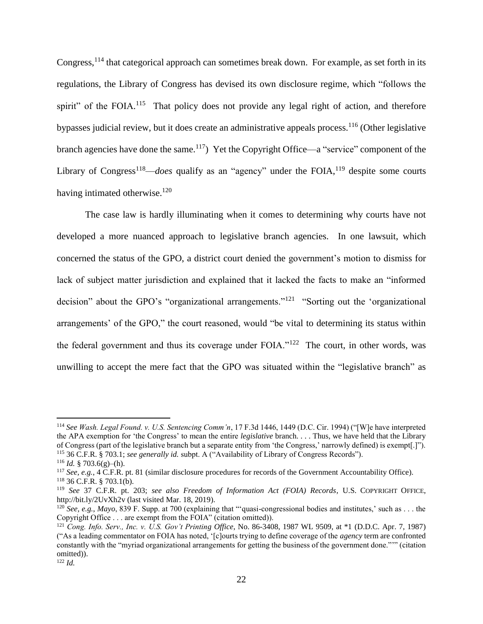Congress,<sup>114</sup> that categorical approach can sometimes break down. For example, as set forth in its regulations, the Library of Congress has devised its own disclosure regime, which "follows the spirit" of the FOIA.<sup>115</sup> That policy does not provide any legal right of action, and therefore bypasses judicial review, but it does create an administrative appeals process.<sup>116</sup> (Other legislative branch agencies have done the same.<sup>117</sup>) Yet the Copyright Office—a "service" component of the Library of Congress<sup>118—*does* qualify as an "agency" under the FOIA,<sup>119</sup> despite some courts</sup> having intimated otherwise.<sup>120</sup>

The case law is hardly illuminating when it comes to determining why courts have not developed a more nuanced approach to legislative branch agencies. In one lawsuit, which concerned the status of the GPO, a district court denied the government's motion to dismiss for lack of subject matter jurisdiction and explained that it lacked the facts to make an "informed decision" about the GPO's "organizational arrangements."<sup>121</sup> "Sorting out the 'organizational arrangements' of the GPO," the court reasoned, would "be vital to determining its status within the federal government and thus its coverage under FOIA."<sup>122</sup> The court, in other words, was unwilling to accept the mere fact that the GPO was situated within the "legislative branch" as

<sup>114</sup> *See Wash. Legal Found. v. U.S. Sentencing Comm'n*, 17 F.3d 1446, 1449 (D.C. Cir. 1994) ("[W]e have interpreted the APA exemption for 'the Congress' to mean the entire *legislative* branch. . . . Thus, we have held that the Library of Congress (part of the legislative branch but a separate entity from 'the Congress,' narrowly defined) is exempt[.]"). <sup>115</sup> 36 C.F.R. § 703.1; *see generally id.* subpt. A ("Availability of Library of Congress Records").

<sup>116</sup> *Id.* § 703.6(g)–(h).

<sup>117</sup> *See, e.g.*, 4 C.F.R. pt. 81 (similar disclosure procedures for records of the Government Accountability Office).  $118$  36 C.F.R. § 703.1(b).

<sup>119</sup> *See* 37 C.F.R. pt. 203; *see also Freedom of Information Act (FOIA) Records*, U.S. COPYRIGHT OFFICE, http://bit.ly/2UvXh2v (last visited Mar. 18, 2019).

<sup>&</sup>lt;sup>120</sup> *See, e.g., Mayo, 839 F. Supp. at 700 (explaining that "'quasi-congressional bodies and institutes,' such as ... the* Copyright Office . . . are exempt from the FOIA" (citation omitted)).

<sup>121</sup> *Cong. Info. Serv., Inc. v. U.S. Gov't Printing Office*, No. 86-3408, 1987 WL 9509, at \*1 (D.D.C. Apr. 7, 1987) ("As a leading commentator on FOIA has noted, '[c]ourts trying to define coverage of the *agency* term are confronted constantly with the "myriad organizational arrangements for getting the business of the government done."'" (citation omitted)).

<sup>122</sup> *Id.*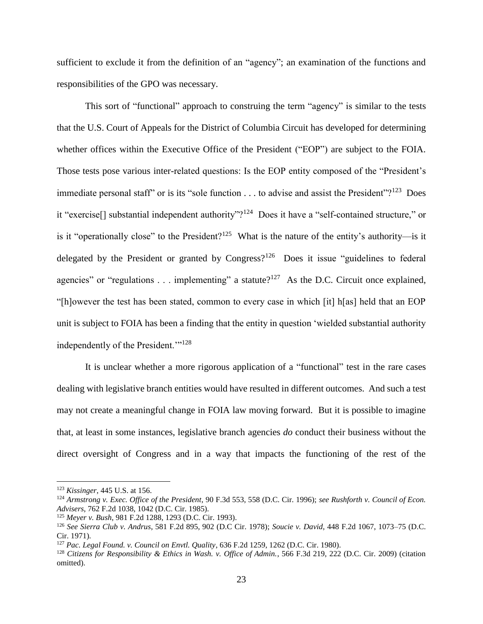sufficient to exclude it from the definition of an "agency"; an examination of the functions and responsibilities of the GPO was necessary.

This sort of "functional" approach to construing the term "agency" is similar to the tests that the U.S. Court of Appeals for the District of Columbia Circuit has developed for determining whether offices within the Executive Office of the President ("EOP") are subject to the FOIA. Those tests pose various inter-related questions: Is the EOP entity composed of the "President's immediate personal staff" or is its "sole function  $\dots$  to advise and assist the President"?<sup>123</sup> Does it "exercise<sup>[]</sup> substantial independent authority"?<sup>124</sup> Does it have a "self-contained structure," or is it "operationally close" to the President?<sup>125</sup> What is the nature of the entity's authority—is it delegated by the President or granted by Congress?<sup>126</sup> Does it issue "guidelines to federal agencies" or "regulations . . . implementing" a statute?<sup>127</sup> As the D.C. Circuit once explained, "[h]owever the test has been stated, common to every case in which [it] h[as] held that an EOP unit is subject to FOIA has been a finding that the entity in question 'wielded substantial authority independently of the President."<sup>128</sup>

It is unclear whether a more rigorous application of a "functional" test in the rare cases dealing with legislative branch entities would have resulted in different outcomes. And such a test may not create a meaningful change in FOIA law moving forward. But it is possible to imagine that, at least in some instances, legislative branch agencies *do* conduct their business without the direct oversight of Congress and in a way that impacts the functioning of the rest of the

<sup>123</sup> *Kissinger*, 445 U.S. at 156.

<sup>124</sup> *Armstrong v. Exec. Office of the President*, 90 F.3d 553, 558 (D.C. Cir. 1996); *see Rushforth v. Council of Econ. Advisers*, 762 F.2d 1038, 1042 (D.C. Cir. 1985).

<sup>125</sup> *Meyer v. Bush*, 981 F.2d 1288, 1293 (D.C. Cir. 1993).

<sup>126</sup> *See Sierra Club v. Andrus*, 581 F.2d 895, 902 (D.C Cir. 1978); *Soucie v. David*, 448 F.2d 1067, 1073–75 (D.C. Cir. 1971).

<sup>127</sup> *Pac. Legal Found. v. Council on Envtl. Quality*, 636 F.2d 1259, 1262 (D.C. Cir. 1980).

<sup>128</sup> *Citizens for Responsibility & Ethics in Wash. v. Office of Admin.*, 566 F.3d 219, 222 (D.C. Cir. 2009) (citation omitted).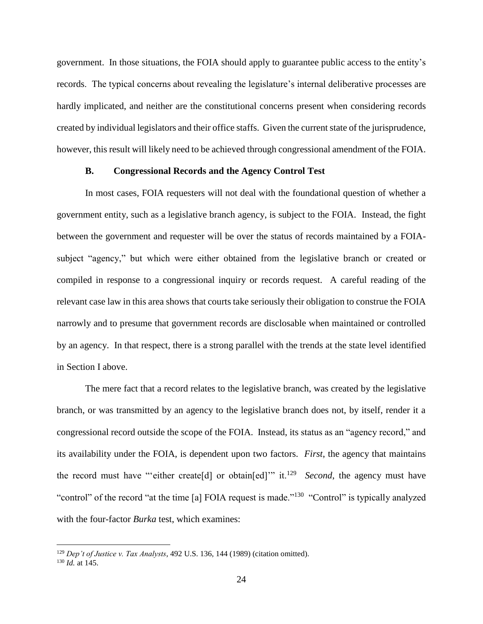government. In those situations, the FOIA should apply to guarantee public access to the entity's records. The typical concerns about revealing the legislature's internal deliberative processes are hardly implicated, and neither are the constitutional concerns present when considering records created by individual legislators and their office staffs. Given the current state of the jurisprudence, however, this result will likely need to be achieved through congressional amendment of the FOIA.

# **B. Congressional Records and the Agency Control Test**

<span id="page-23-0"></span>In most cases, FOIA requesters will not deal with the foundational question of whether a government entity, such as a legislative branch agency, is subject to the FOIA. Instead, the fight between the government and requester will be over the status of records maintained by a FOIAsubject "agency," but which were either obtained from the legislative branch or created or compiled in response to a congressional inquiry or records request. A careful reading of the relevant case law in this area shows that courts take seriously their obligation to construe the FOIA narrowly and to presume that government records are disclosable when maintained or controlled by an agency. In that respect, there is a strong parallel with the trends at the state level identified in Section I above.

The mere fact that a record relates to the legislative branch, was created by the legislative branch, or was transmitted by an agency to the legislative branch does not, by itself, render it a congressional record outside the scope of the FOIA. Instead, its status as an "agency record," and its availability under the FOIA, is dependent upon two factors. *First*, the agency that maintains the record must have "either create<sup>[d]</sup> or obtain<sup>[ed]</sup>" it.<sup>129</sup> Second, the agency must have "control" of the record "at the time [a] FOIA request is made."<sup>130</sup> "Control" is typically analyzed with the four-factor *Burka* test, which examines:

<sup>129</sup> *Dep't of Justice v. Tax Analysts*, 492 U.S. 136, 144 (1989) (citation omitted). <sup>130</sup> *Id.* at 145.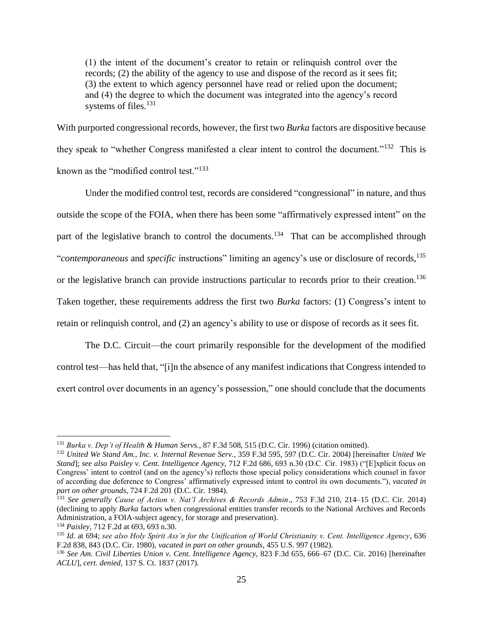(1) the intent of the document's creator to retain or relinquish control over the records; (2) the ability of the agency to use and dispose of the record as it sees fit; (3) the extent to which agency personnel have read or relied upon the document; and (4) the degree to which the document was integrated into the agency's record systems of files.<sup>131</sup>

With purported congressional records, however, the first two *Burka* factors are dispositive because they speak to "whether Congress manifested a clear intent to control the document."<sup>132</sup> This is known as the "modified control test."<sup>133</sup>

Under the modified control test, records are considered "congressional" in nature, and thus outside the scope of the FOIA, when there has been some "affirmatively expressed intent" on the part of the legislative branch to control the documents.<sup>134</sup> That can be accomplished through "*contemporaneous* and *specific* instructions" limiting an agency's use or disclosure of records, 135 or the legislative branch can provide instructions particular to records prior to their creation.<sup>136</sup> Taken together, these requirements address the first two *Burka* factors: (1) Congress's intent to retain or relinquish control, and (2) an agency's ability to use or dispose of records as it sees fit.

The D.C. Circuit—the court primarily responsible for the development of the modified control test—has held that, "[i]n the absence of any manifest indications that Congress intended to exert control over documents in an agency's possession," one should conclude that the documents

<sup>131</sup> *Burka v. Dep't of Health & Human Servs.*, 87 F.3d 508, 515 (D.C. Cir. 1996) (citation omitted).

<sup>132</sup> *United We Stand Am., Inc. v. Internal Revenue Serv.*, 359 F.3d 595, 597 (D.C. Cir. 2004) [hereinafter *United We Stand*]; *see also Paisley v. Cent. Intelligence Agency*, 712 F.2d 686, 693 n.30 (D.C. Cir. 1983) ("[E]xplicit focus on Congress' intent to control (and on the agency's) reflects those special policy considerations which counsel in favor of according due deference to Congress' affirmatively expressed intent to control its own documents."), *vacated in part on other grounds*, 724 F.2d 201 (D.C. Cir. 1984).

<sup>133</sup> *See generally Cause of Action v. Nat'l Archives & Records Admin*., 753 F.3d 210, 214–15 (D.C. Cir. 2014) (declining to apply *Burka* factors when congressional entities transfer records to the National Archives and Records Administration, a FOIA-subject agency, for storage and preservation).

<sup>134</sup> *Paisley*, 712 F.2d at 693, 693 n.30.

<sup>135</sup> *Id.* at 694; *see also Holy Spirit Ass'n for the Unification of World Christianity v. Cent. Intelligence Agency*, 636 F.2d 838, 843 (D.C. Cir. 1980), *vacated in part on other grounds*, 455 U.S. 997 (1982).

<sup>136</sup> *See Am. Civil Liberties Union v. Cent. Intelligence Agency*, 823 F.3d 655, 666–67 (D.C. Cir. 2016) [hereinafter *ACLU*], *cert. denied*, 137 S. Ct. 1837 (2017).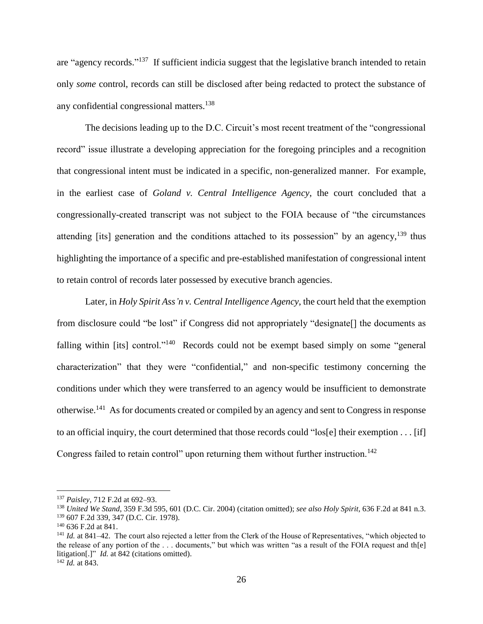are "agency records."<sup>137</sup> If sufficient indicia suggest that the legislative branch intended to retain only *some* control, records can still be disclosed after being redacted to protect the substance of any confidential congressional matters. 138

The decisions leading up to the D.C. Circuit's most recent treatment of the "congressional record" issue illustrate a developing appreciation for the foregoing principles and a recognition that congressional intent must be indicated in a specific, non-generalized manner. For example, in the earliest case of *Goland v. Central Intelligence Agency*, the court concluded that a congressionally-created transcript was not subject to the FOIA because of "the circumstances attending [its] generation and the conditions attached to its possession" by an agency,  $139$  thus highlighting the importance of a specific and pre-established manifestation of congressional intent to retain control of records later possessed by executive branch agencies.

Later, in *Holy Spirit Ass'n v. Central Intelligence Agency*, the court held that the exemption from disclosure could "be lost" if Congress did not appropriately "designate[] the documents as falling within [its] control."<sup>140</sup> Records could not be exempt based simply on some "general characterization" that they were "confidential," and non-specific testimony concerning the conditions under which they were transferred to an agency would be insufficient to demonstrate otherwise.<sup>141</sup> As for documents created or compiled by an agency and sent to Congress in response to an official inquiry, the court determined that those records could "los[e] their exemption . . . [if] Congress failed to retain control" upon returning them without further instruction.<sup>142</sup>

<sup>137</sup> *Paisley*, 712 F.2d at 692–93.

<sup>138</sup> *United We Stand*, 359 F.3d 595, 601 (D.C. Cir. 2004) (citation omitted); *see also Holy Spirit*, 636 F.2d at 841 n.3. <sup>139</sup> 607 F.2d 339, 347 (D.C. Cir. 1978).

 $140$  636 F.2d at 841.

<sup>&</sup>lt;sup>141</sup> *Id.* at 841–42. The court also rejected a letter from the Clerk of the House of Representatives, "which objected to the release of any portion of the . . . documents," but which was written "as a result of the FOIA request and th[e] litigation[.]" *Id.* at 842 (citations omitted).

<sup>142</sup> *Id.* at 843.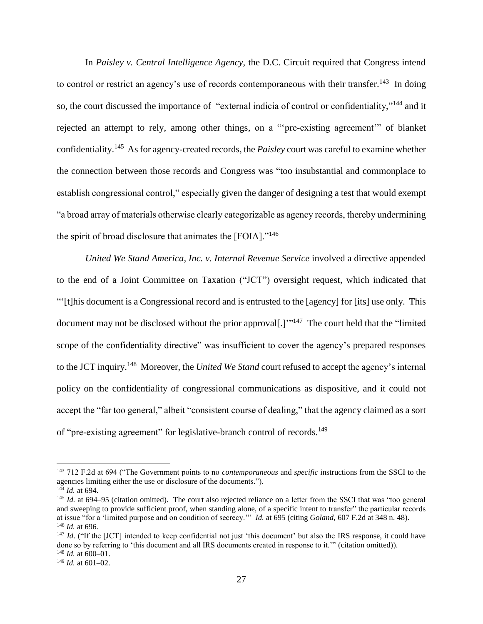In *Paisley v. Central Intelligence Agency*, the D.C. Circuit required that Congress intend to control or restrict an agency's use of records contemporaneous with their transfer.<sup>143</sup> In doing so, the court discussed the importance of "external indicia of control or confidentiality,"<sup>144</sup> and it rejected an attempt to rely, among other things, on a "'pre-existing agreement'" of blanket confidentiality.<sup>145</sup> As for agency-created records, the *Paisley* court was careful to examine whether the connection between those records and Congress was "too insubstantial and commonplace to establish congressional control," especially given the danger of designing a test that would exempt "a broad array of materials otherwise clearly categorizable as agency records, thereby undermining the spirit of broad disclosure that animates the [FOIA]."<sup>146</sup>

*United We Stand America, Inc. v. Internal Revenue Service* involved a directive appended to the end of a Joint Committee on Taxation ("JCT") oversight request, which indicated that "'[t]his document is a Congressional record and is entrusted to the [agency] for [its] use only. This document may not be disclosed without the prior approval<sup>[1]</sup><sup>"147</sup> The court held that the "limited" scope of the confidentiality directive" was insufficient to cover the agency's prepared responses to the JCT inquiry. 148 Moreover, the *United We Stand* court refused to accept the agency's internal policy on the confidentiality of congressional communications as dispositive, and it could not accept the "far too general," albeit "consistent course of dealing," that the agency claimed as a sort of "pre-existing agreement" for legislative-branch control of records.<sup>149</sup>

<sup>143</sup> 712 F.2d at 694 ("The Government points to no *contemporaneous* and *specific* instructions from the SSCI to the agencies limiting either the use or disclosure of the documents.").

 $^{144}$  *Id.* at 694.

<sup>&</sup>lt;sup>145</sup> *Id.* at 694–95 (citation omitted). The court also rejected reliance on a letter from the SSCI that was "too general and sweeping to provide sufficient proof, when standing alone, of a specific intent to transfer" the particular records at issue "for a 'limited purpose and on condition of secrecy.'" *Id.* at 695 (citing *Goland*, 607 F.2d at 348 n. 48). <sup>146</sup> *Id.* at 696*.*

<sup>&</sup>lt;sup>147</sup> *Id.* ("If the [JCT] intended to keep confidential not just 'this document' but also the IRS response, it could have done so by referring to 'this document and all IRS documents created in response to it.'" (citation omitted)).  $148$  *Id.* at 600–01.

<sup>149</sup> *Id.* at 601–02.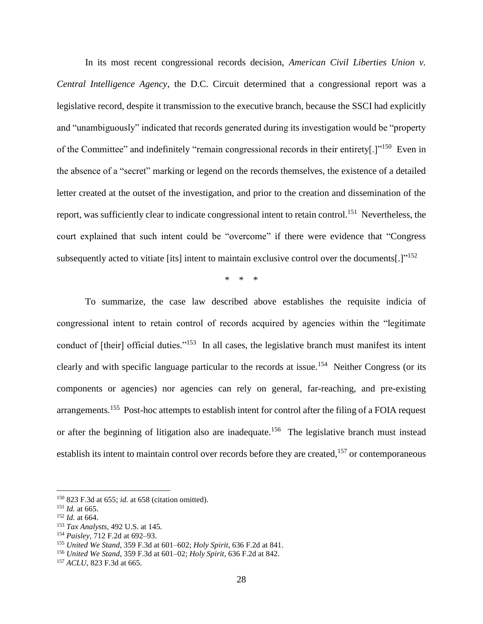In its most recent congressional records decision, *American Civil Liberties Union v. Central Intelligence Agency*, the D.C. Circuit determined that a congressional report was a legislative record, despite it transmission to the executive branch, because the SSCI had explicitly and "unambiguously" indicated that records generated during its investigation would be "property of the Committee" and indefinitely "remain congressional records in their entirety[.]"<sup>150</sup> Even in the absence of a "secret" marking or legend on the records themselves, the existence of a detailed letter created at the outset of the investigation, and prior to the creation and dissemination of the report, was sufficiently clear to indicate congressional intent to retain control.<sup>151</sup> Nevertheless, the court explained that such intent could be "overcome" if there were evidence that "Congress subsequently acted to vitiate [its] intent to maintain exclusive control over the documents[.]"<sup>152</sup>

\* \* \*

To summarize, the case law described above establishes the requisite indicia of congressional intent to retain control of records acquired by agencies within the "legitimate conduct of [their] official duties."<sup>153</sup> In all cases, the legislative branch must manifest its intent clearly and with specific language particular to the records at issue.<sup>154</sup> Neither Congress (or its components or agencies) nor agencies can rely on general, far-reaching, and pre-existing arrangements.<sup>155</sup> Post-hoc attempts to establish intent for control after the filing of a FOIA request or after the beginning of litigation also are inadequate.<sup>156</sup> The legislative branch must instead establish its intent to maintain control over records before they are created,<sup>157</sup> or contemporaneous

<sup>150</sup> 823 F.3d at 655; *id.* at 658 (citation omitted).

<sup>151</sup> *Id.* at 665.

<sup>152</sup> *Id.* at 664.

<sup>153</sup> *Tax Analysts*, 492 U.S. at 145.

<sup>154</sup> *Paisley*, 712 F.2d at 692–93.

<sup>155</sup> *United We Stand*, 359 F.3d at 601–602; *Holy Spirit*, 636 F.2d at 841.

<sup>156</sup> *United We Stand*, 359 F.3d at 601–02; *Holy Spirit*, 636 F.2d at 842.

<sup>157</sup> *ACLU*, 823 F.3d at 665.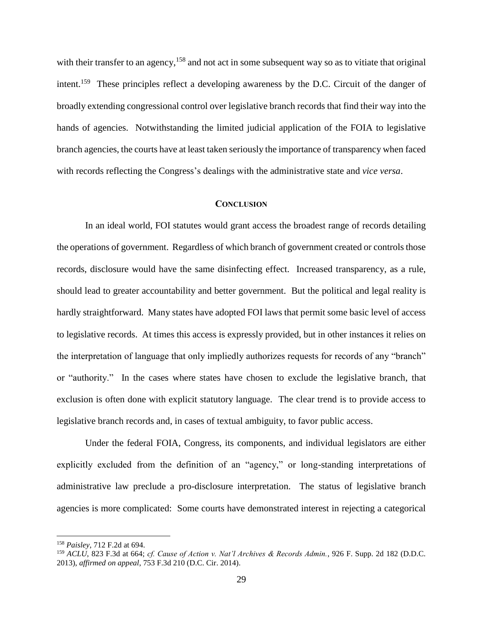with their transfer to an agency,<sup>158</sup> and not act in some subsequent way so as to vitiate that original intent.<sup>159</sup> These principles reflect a developing awareness by the D.C. Circuit of the danger of broadly extending congressional control over legislative branch records that find their way into the hands of agencies. Notwithstanding the limited judicial application of the FOIA to legislative branch agencies, the courts have at least taken seriously the importance of transparency when faced with records reflecting the Congress's dealings with the administrative state and *vice versa*.

# **CONCLUSION**

<span id="page-28-0"></span>In an ideal world, FOI statutes would grant access the broadest range of records detailing the operations of government. Regardless of which branch of government created or controls those records, disclosure would have the same disinfecting effect. Increased transparency, as a rule, should lead to greater accountability and better government. But the political and legal reality is hardly straightforward. Many states have adopted FOI laws that permit some basic level of access to legislative records. At times this access is expressly provided, but in other instances it relies on the interpretation of language that only impliedly authorizes requests for records of any "branch" or "authority." In the cases where states have chosen to exclude the legislative branch, that exclusion is often done with explicit statutory language. The clear trend is to provide access to legislative branch records and, in cases of textual ambiguity, to favor public access.

Under the federal FOIA, Congress, its components, and individual legislators are either explicitly excluded from the definition of an "agency," or long-standing interpretations of administrative law preclude a pro-disclosure interpretation. The status of legislative branch agencies is more complicated: Some courts have demonstrated interest in rejecting a categorical

<sup>158</sup> *Paisley*, 712 F.2d at 694.

<sup>159</sup> *ACLU*, 823 F.3d at 664; *cf. Cause of Action v. Nat'l Archives & Records Admin.*, 926 F. Supp. 2d 182 (D.D.C. 2013), *affirmed on appeal*, 753 F.3d 210 (D.C. Cir. 2014).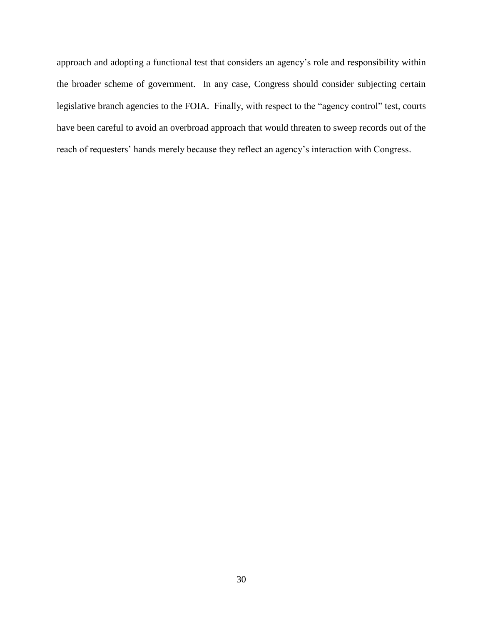approach and adopting a functional test that considers an agency's role and responsibility within the broader scheme of government. In any case, Congress should consider subjecting certain legislative branch agencies to the FOIA. Finally, with respect to the "agency control" test, courts have been careful to avoid an overbroad approach that would threaten to sweep records out of the reach of requesters' hands merely because they reflect an agency's interaction with Congress.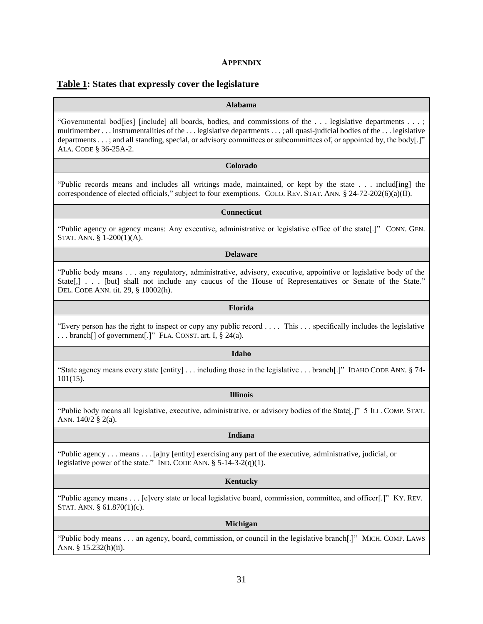# **APPENDIX**

# <span id="page-30-0"></span>**Table 1: States that expressly cover the legislature**

# **Alabama**

"Governmental bod[ies] [include] all boards, bodies, and commissions of the . . . legislative departments . . . ; multimember . . . instrumentalities of the . . . legislative departments . . . ; all quasi-judicial bodies of the . . . legislative departments . . . ; and all standing, special, or advisory committees or subcommittees of, or appointed by, the body[.]" ALA. CODE § 36-25A-2.

#### **Colorado**

"Public records means and includes all writings made, maintained, or kept by the state . . . includ[ing] the correspondence of elected officials," subject to four exemptions. COLO. REV. STAT. ANN. § 24-72-202(6)(a)(II).

# **Connecticut**

"Public agency or agency means: Any executive, administrative or legislative office of the state[.]" CONN. GEN. STAT. ANN. § 1-200(1)(A).

#### **Delaware**

"Public body means . . . any regulatory, administrative, advisory, executive, appointive or legislative body of the State[,] . . . [but] shall not include any caucus of the House of Representatives or Senate of the State." DEL. CODE ANN. tit. 29, § 10002(h).

# **Florida**

"Every person has the right to inspect or copy any public record . . . . This . . . specifically includes the legislative ... branch<sup>[]</sup> of government<sup>[.]"</sup> FLA. CONST. art. I, § 24(a).

# **Idaho**

"State agency means every state [entity] . . . including those in the legislative . . . branch[.]" IDAHO CODE ANN. § 74- 101(15).

# **Illinois**

"Public body means all legislative, executive, administrative, or advisory bodies of the State[.]" 5 ILL. COMP. STAT. ANN. 140/2 § 2(a).

# **Indiana**

"Public agency . . . means . . . [a]ny [entity] exercising any part of the executive, administrative, judicial, or legislative power of the state." IND. CODE ANN.  $\S$  5-14-3-2(q)(1).

# **Kentucky**

"Public agency means . . . [e]very state or local legislative board, commission, committee, and officer[.]" KY. REV. STAT. ANN. § 61.870(1)(c).

# **Michigan**

"Public body means . . . an agency, board, commission, or council in the legislative branch[.]" MICH. COMP. LAWS ANN. § 15.232(h)(ii).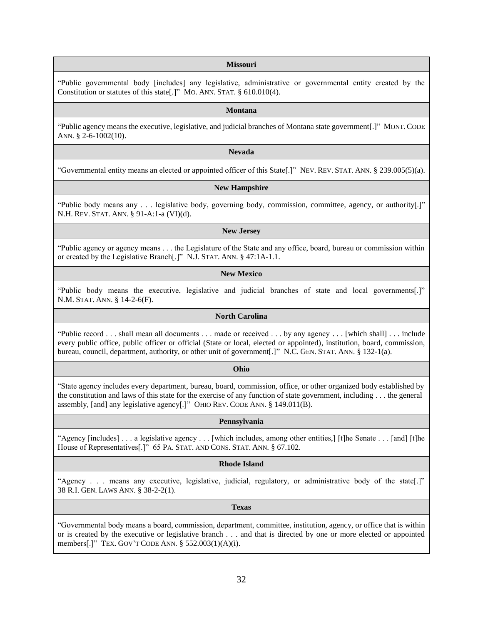### **Missouri**

"Public governmental body [includes] any legislative, administrative or governmental entity created by the Constitution or statutes of this state[.]" MO. ANN. STAT. § 610.010(4).

#### **Montana**

"Public agency means the executive, legislative, and judicial branches of Montana state government[.]" MONT. CODE ANN. § 2-6-1002(10).

### **Nevada**

"Governmental entity means an elected or appointed officer of this State[.]" NEV. REV. STAT. ANN. § 239.005(5)(a).

# **New Hampshire**

"Public body means any . . . legislative body, governing body, commission, committee, agency, or authority[.]" N.H. REV. STAT. ANN. § 91-A:1-a (VI)(d).

#### **New Jersey**

"Public agency or agency means . . . the Legislature of the State and any office, board, bureau or commission within or created by the Legislative Branch[.]" N.J. STAT. ANN. § 47:1A-1.1.

# **New Mexico**

"Public body means the executive, legislative and judicial branches of state and local governments[.]" N.M. STAT. ANN. § 14-2-6(F).

# **North Carolina**

"Public record . . . shall mean all documents . . . made or received . . . by any agency . . . [which shall] . . . include every public office, public officer or official (State or local, elected or appointed), institution, board, commission, bureau, council, department, authority, or other unit of government[.]" N.C. GEN. STAT. ANN. § 132-1(a).

# **Ohio**

"State agency includes every department, bureau, board, commission, office, or other organized body established by the constitution and laws of this state for the exercise of any function of state government, including . . . the general assembly, [and] any legislative agency[.]" OHIO REV. CODE ANN. § 149.011(B).

# **Pennsylvania**

"Agency [includes] . . . a legislative agency . . . [which includes, among other entities,] [t]he Senate . . . [and] [t]he House of Representatives[.]" 65 PA. STAT. AND CONS. STAT. ANN. § 67.102.

# **Rhode Island**

"Agency . . . means any executive, legislative, judicial, regulatory, or administrative body of the state[.]" 38 R.I. GEN. LAWS ANN. § 38-2-2(1).

#### **Texas**

"Governmental body means a board, commission, department, committee, institution, agency, or office that is within or is created by the executive or legislative branch . . . and that is directed by one or more elected or appointed members[.]" TEX. GOV'T CODE ANN. § 552.003(1)(A)(i).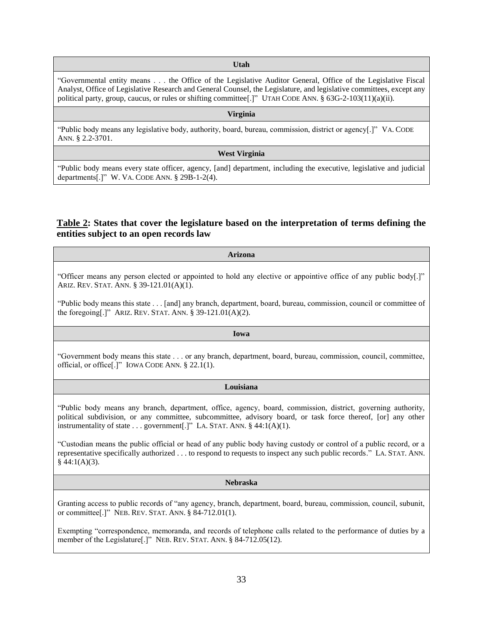#### **Utah**

"Governmental entity means . . . the Office of the Legislative Auditor General, Office of the Legislative Fiscal Analyst, Office of Legislative Research and General Counsel, the Legislature, and legislative committees, except any political party, group, caucus, or rules or shifting committee<sup>[1]</sup>" UTAH CODE ANN. § 63G-2-103(11)(a)(ii).

#### **Virginia**

"Public body means any legislative body, authority, board, bureau, commission, district or agency[.]" VA. CODE ANN. § 2.2-3701.

#### **West Virginia**

"Public body means every state officer, agency, [and] department, including the executive, legislative and judicial departments[.]" W. VA. CODE ANN. § 29B-1-2(4).

# **Table 2: States that cover the legislature based on the interpretation of terms defining the entities subject to an open records law**

#### **Arizona**

"Officer means any person elected or appointed to hold any elective or appointive office of any public body[.]" ARIZ. REV. STAT. ANN. § 39-121.01(A)(1).

"Public body means this state . . . [and] any branch, department, board, bureau, commission, council or committee of the foregoing[.]" ARIZ. REV. STAT. ANN. § 39-121.01(A)(2).

#### **Iowa**

"Government body means this state . . . or any branch, department, board, bureau, commission, council, committee, official, or office[.]" IOWA CODE ANN. § 22.1(1).

# **Louisiana**

"Public body means any branch, department, office, agency, board, commission, district, governing authority, political subdivision, or any committee, subcommittee, advisory board, or task force thereof, [or] any other instrumentality of state  $\dots$  government[.]" LA. STAT. ANN. § 44:1(A)(1).

"Custodian means the public official or head of any public body having custody or control of a public record, or a representative specifically authorized . . . to respond to requests to inspect any such public records." LA. STAT. ANN.  $§$  44:1(A)(3).

#### **Nebraska**

Granting access to public records of "any agency, branch, department, board, bureau, commission, council, subunit, or committee[.]" NEB. REV. STAT. ANN. § 84-712.01(1).

Exempting "correspondence, memoranda, and records of telephone calls related to the performance of duties by a member of the Legislature[.]" NEB. REV. STAT. ANN. § 84-712.05(12).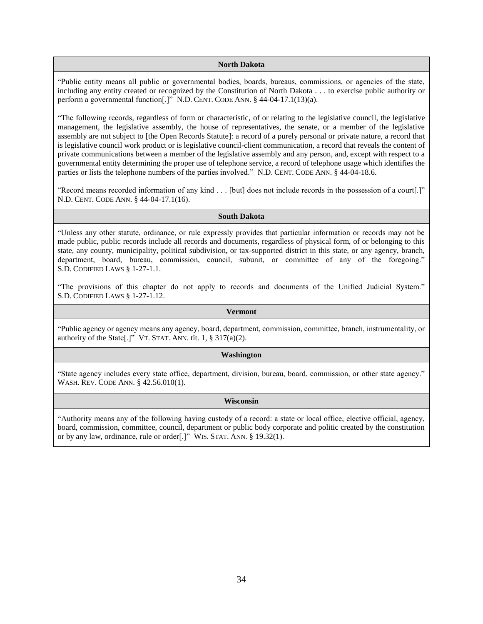#### **North Dakota**

"Public entity means all public or governmental bodies, boards, bureaus, commissions, or agencies of the state, including any entity created or recognized by the Constitution of North Dakota . . . to exercise public authority or perform a governmental function[.]" N.D. CENT. CODE ANN. § 44-04-17.1(13)(a).

"The following records, regardless of form or characteristic, of or relating to the legislative council, the legislative management, the legislative assembly, the house of representatives, the senate, or a member of the legislative assembly are not subject to [the Open Records Statute]: a record of a purely personal or private nature, a record that is legislative council work product or is legislative council-client communication, a record that reveals the content of private communications between a member of the legislative assembly and any person, and, except with respect to a governmental entity determining the proper use of telephone service, a record of telephone usage which identifies the parties or lists the telephone numbers of the parties involved." N.D. CENT. CODE ANN. § 44-04-18.6.

"Record means recorded information of any kind . . . [but] does not include records in the possession of a court[.]" N.D. CENT. CODE ANN. § 44-04-17.1(16).

#### **South Dakota**

"Unless any other statute, ordinance, or rule expressly provides that particular information or records may not be made public, public records include all records and documents, regardless of physical form, of or belonging to this state, any county, municipality, political subdivision, or tax-supported district in this state, or any agency, branch, department, board, bureau, commission, council, subunit, or committee of any of the foregoing." S.D. CODIFIED LAWS § 1-27-1.1.

"The provisions of this chapter do not apply to records and documents of the Unified Judicial System." S.D. CODIFIED LAWS § 1-27-1.12.

#### **Vermont**

"Public agency or agency means any agency, board, department, commission, committee, branch, instrumentality, or authority of the State[.]" VT. STAT. ANN. tit.  $1, \S 317(a)(2)$ .

# **Washington**

"State agency includes every state office, department, division, bureau, board, commission, or other state agency." WASH. REV. CODE ANN. § 42.56.010(1).

# **Wisconsin**

"Authority means any of the following having custody of a record: a state or local office, elective official, agency, board, commission, committee, council, department or public body corporate and politic created by the constitution or by any law, ordinance, rule or order[.]" WIS. STAT. ANN. § 19.32(1).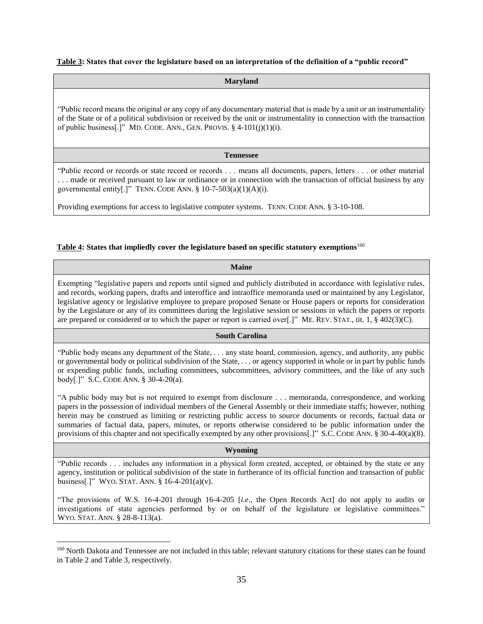# **Table 3: States that cover the legislature based on an interpretation of the definition of a "public record"**

# **Maryland**

"Public record means the original or any copy of any documentary material that is made by a unit or an instrumentality of the State or of a political subdivision or received by the unit or instrumentality in connection with the transaction of public business[.]" MD. CODE. ANN., GEN. PROVIS.  $\S$  4-101(j)(1)(i).

# **Tennessee**

"Public record or records or state record or records . . . means all documents, papers, letters . . . or other material . . . made or received pursuant to law or ordinance or in connection with the transaction of official business by any governmental entity[.]" TENN. CODE ANN.  $\S$  10-7-503(a)(1)(A)(i).

Providing exemptions for access to legislative computer systems. TENN. CODE ANN. § 3-10-108.

# **Table 4: States that impliedly cover the legislature based on specific statutory exemptions**<sup>160</sup>

# **Maine**

Exempting "legislative papers and reports until signed and publicly distributed in accordance with legislative rules, and records, working papers, drafts and interoffice and intraoffice memoranda used or maintained by any Legislator, legislative agency or legislative employee to prepare proposed Senate or House papers or reports for consideration by the Legislature or any of its committees during the legislative session or sessions in which the papers or reports are prepared or considered or to which the paper or report is carried over[.]" ME. REV. STAT., tit. 1, § 402(3)(C).

# **South Carolina**

"Public body means any department of the State, . . . any state board, commission, agency, and authority, any public or governmental body or political subdivision of the State, . . . or agency supported in whole or in part by public funds or expending public funds, including committees, subcommittees, advisory committees, and the like of any such body[.]" S.C. CODE ANN. § 30-4-20(a).

"A public body may but is not required to exempt from disclosure . . . memoranda, correspondence, and working papers in the possession of individual members of the General Assembly or their immediate staffs; however, nothing herein may be construed as limiting or restricting public access to source documents or records, factual data or summaries of factual data, papers, minutes, or reports otherwise considered to be public information under the provisions of this chapter and not specifically exempted by any other provisions[.]" S.C. CODE ANN. § 30-4-40(a)(8).

# **Wyoming**

"Public records . . . includes any information in a physical form created, accepted, or obtained by the state or any agency, institution or political subdivision of the state in furtherance of its official function and transaction of public business[.]" WYO. STAT. ANN. § 16-4-201(a)(v).

"The provisions of W.S. 16-4-201 through 16-4-205 [*i.e*., the Open Records Act] do not apply to audits or investigations of state agencies performed by or on behalf of the legislature or legislative committees." WYO. STAT. ANN. § 28-8-113(a).

<sup>&</sup>lt;sup>160</sup> North Dakota and Tennessee are not included in this table; relevant statutory citations for these states can be found in Table 2 and Table 3, respectively.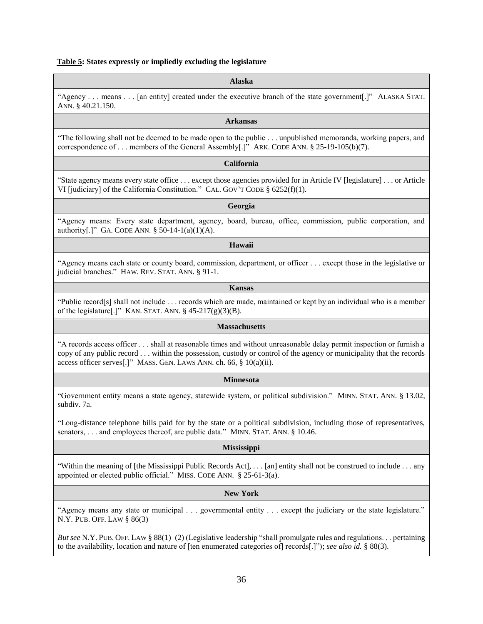# **Table 5: States expressly or impliedly excluding the legislature**

#### **Alaska**

"Agency . . . means . . . [an entity] created under the executive branch of the state government[.]" ALASKA STAT. ANN. § 40.21.150.

# **Arkansas**

"The following shall not be deemed to be made open to the public . . . unpublished memoranda, working papers, and correspondence of . . . members of the General Assembly[.]" ARK. CODE ANN. § 25-19-105(b)(7).

#### **California**

"State agency means every state office . . . except those agencies provided for in Article IV [legislature] . . . or Article VI [judiciary] of the California Constitution." CAL. GOV'T CODE § 6252(f)(1).

# **Georgia**

"Agency means: Every state department, agency, board, bureau, office, commission, public corporation, and authority[.]" GA. CODE ANN. § 50-14-1(a)(1)(A).

#### **Hawaii**

"Agency means each state or county board, commission, department, or officer . . . except those in the legislative or judicial branches." HAW. REV. STAT. ANN. § 91-1.

# **Kansas**

"Public record[s] shall not include . . . records which are made, maintained or kept by an individual who is a member of the legislature[.]" KAN. STAT. ANN.  $\S$  45-217(g)(3)(B).

#### **Massachusetts**

"A records access officer . . . shall at reasonable times and without unreasonable delay permit inspection or furnish a copy of any public record . . . within the possession, custody or control of the agency or municipality that the records access officer serves[.]" MASS. GEN. LAWS ANN. ch. 66, § 10(a)(ii).

# **Minnesota**

"Government entity means a state agency, statewide system, or political subdivision." MINN. STAT. ANN. § 13.02, subdiv. 7a.

"Long-distance telephone bills paid for by the state or a political subdivision, including those of representatives, senators, . . . and employees thereof, are public data." MINN. STAT. ANN. § 10.46.

# **Mississippi**

"Within the meaning of [the Mississippi Public Records Act], . . . [an] entity shall not be construed to include . . . any appointed or elected public official." MISS. CODE ANN. § 25-61-3(a).

# **New York**

"Agency means any state or municipal . . . governmental entity . . . except the judiciary or the state legislature." N.Y. PUB. OFF. LAW § 86(3)

*But see* N.Y. PUB. OFF. LAW § 88(1)–(2) (Legislative leadership "shall promulgate rules and regulations. . . pertaining to the availability, location and nature of [ten enumerated categories of] records[.]"); *see also id.* § 88(3).